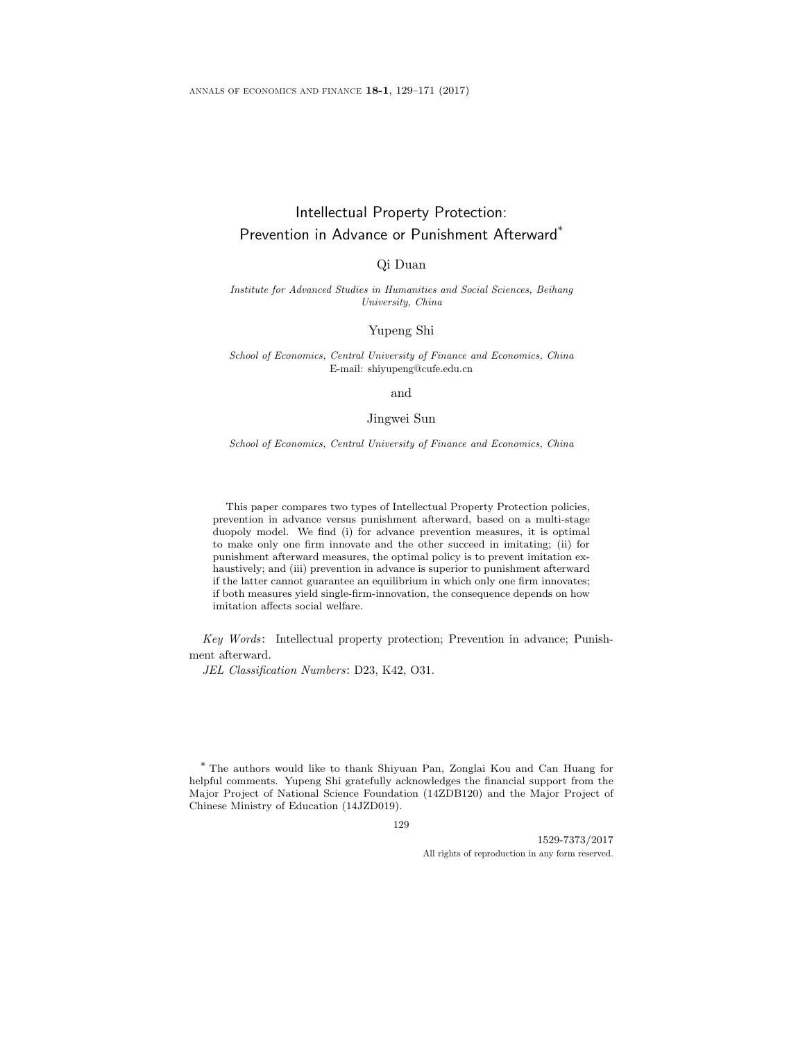# Intellectual Property Protection: Prevention in Advance or Punishment Afterward\*

# Qi Duan

Institute for Advanced Studies in Humanities and Social Sciences, Beihang University, China

### Yupeng Shi

School of Economics, Central University of Finance and Economics, China E-mail: shiyupeng@cufe.edu.cn

#### and

### Jingwei Sun

School of Economics, Central University of Finance and Economics, China

This paper compares two types of Intellectual Property Protection policies, prevention in advance versus punishment afterward, based on a multi-stage duopoly model. We find (i) for advance prevention measures, it is optimal to make only one firm innovate and the other succeed in imitating; (ii) for punishment afterward measures, the optimal policy is to prevent imitation exhaustively; and (iii) prevention in advance is superior to punishment afterward if the latter cannot guarantee an equilibrium in which only one firm innovates; if both measures yield single-firm-innovation, the consequence depends on how imitation affects social welfare.

Key Words: Intellectual property protection; Prevention in advance; Punishment afterward.

JEL Classification Numbers: D23, K42, O31.

\* The authors would like to thank Shiyuan Pan, Zonglai Kou and Can Huang for helpful comments. Yupeng Shi gratefully acknowledges the financial support from the Major Project of National Science Foundation (14ZDB120) and the Major Project of Chinese Ministry of Education (14JZD019).

129

1529-7373/2017 All rights of reproduction in any form reserved.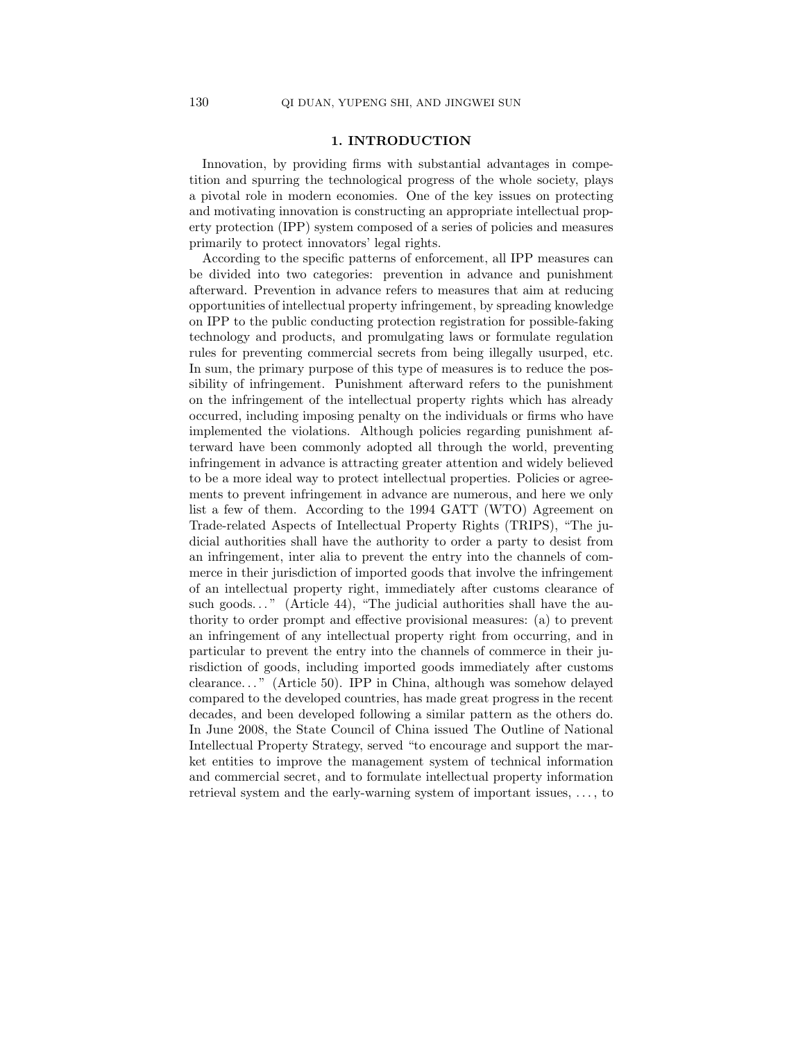# 1. INTRODUCTION

Innovation, by providing firms with substantial advantages in competition and spurring the technological progress of the whole society, plays a pivotal role in modern economies. One of the key issues on protecting and motivating innovation is constructing an appropriate intellectual property protection (IPP) system composed of a series of policies and measures primarily to protect innovators' legal rights.

According to the specific patterns of enforcement, all IPP measures can be divided into two categories: prevention in advance and punishment afterward. Prevention in advance refers to measures that aim at reducing opportunities of intellectual property infringement, by spreading knowledge on IPP to the public conducting protection registration for possible-faking technology and products, and promulgating laws or formulate regulation rules for preventing commercial secrets from being illegally usurped, etc. In sum, the primary purpose of this type of measures is to reduce the possibility of infringement. Punishment afterward refers to the punishment on the infringement of the intellectual property rights which has already occurred, including imposing penalty on the individuals or firms who have implemented the violations. Although policies regarding punishment afterward have been commonly adopted all through the world, preventing infringement in advance is attracting greater attention and widely believed to be a more ideal way to protect intellectual properties. Policies or agreements to prevent infringement in advance are numerous, and here we only list a few of them. According to the 1994 GATT (WTO) Agreement on Trade-related Aspects of Intellectual Property Rights (TRIPS), "The judicial authorities shall have the authority to order a party to desist from an infringement, inter alia to prevent the entry into the channels of commerce in their jurisdiction of imported goods that involve the infringement of an intellectual property right, immediately after customs clearance of such goods..." (Article 44), "The judicial authorities shall have the authority to order prompt and effective provisional measures: (a) to prevent an infringement of any intellectual property right from occurring, and in particular to prevent the entry into the channels of commerce in their jurisdiction of goods, including imported goods immediately after customs clearance. . . " (Article 50). IPP in China, although was somehow delayed compared to the developed countries, has made great progress in the recent decades, and been developed following a similar pattern as the others do. In June 2008, the State Council of China issued The Outline of National Intellectual Property Strategy, served "to encourage and support the market entities to improve the management system of technical information and commercial secret, and to formulate intellectual property information retrieval system and the early-warning system of important issues, . . . , to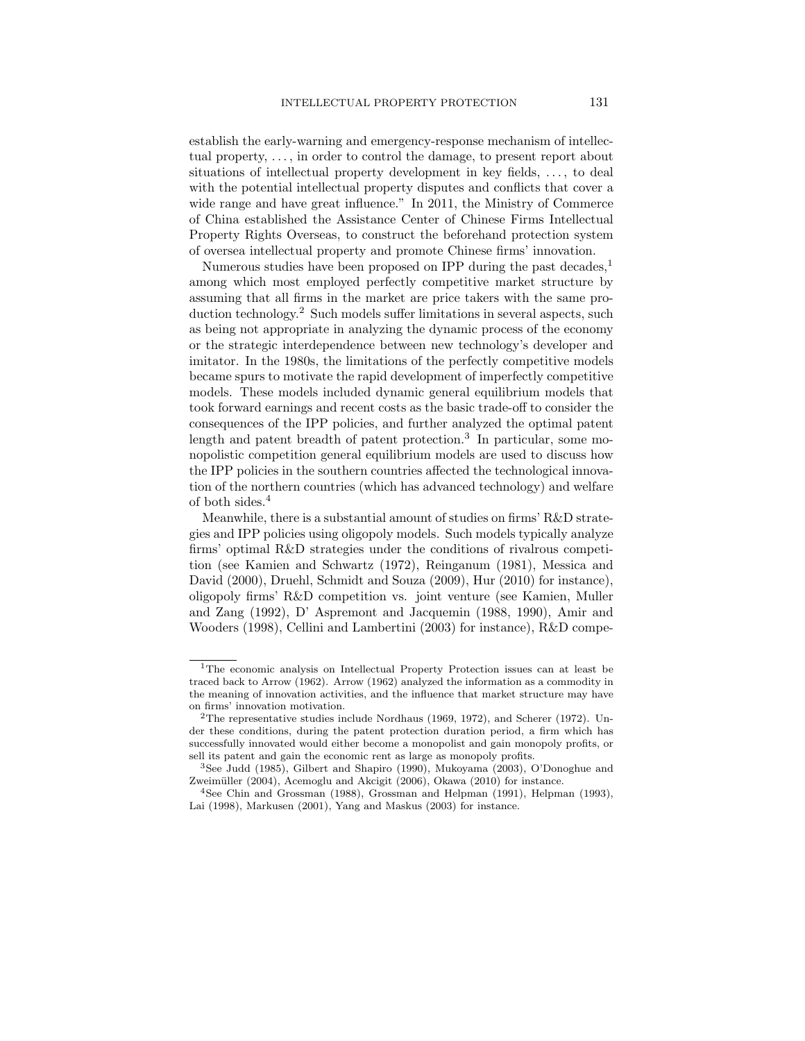establish the early-warning and emergency-response mechanism of intellectual property, . . . , in order to control the damage, to present report about situations of intellectual property development in key fields, ..., to deal with the potential intellectual property disputes and conflicts that cover a wide range and have great influence." In 2011, the Ministry of Commerce of China established the Assistance Center of Chinese Firms Intellectual Property Rights Overseas, to construct the beforehand protection system of oversea intellectual property and promote Chinese firms' innovation.

Numerous studies have been proposed on IPP during the past decades,<sup>1</sup> among which most employed perfectly competitive market structure by assuming that all firms in the market are price takers with the same production technology.<sup>2</sup> Such models suffer limitations in several aspects, such as being not appropriate in analyzing the dynamic process of the economy or the strategic interdependence between new technology's developer and imitator. In the 1980s, the limitations of the perfectly competitive models became spurs to motivate the rapid development of imperfectly competitive models. These models included dynamic general equilibrium models that took forward earnings and recent costs as the basic trade-off to consider the consequences of the IPP policies, and further analyzed the optimal patent length and patent breadth of patent protection.<sup>3</sup> In particular, some monopolistic competition general equilibrium models are used to discuss how the IPP policies in the southern countries affected the technological innovation of the northern countries (which has advanced technology) and welfare of both sides.<sup>4</sup>

Meanwhile, there is a substantial amount of studies on firms' R&D strategies and IPP policies using oligopoly models. Such models typically analyze firms' optimal R&D strategies under the conditions of rivalrous competition (see Kamien and Schwartz (1972), Reinganum (1981), Messica and David (2000), Druehl, Schmidt and Souza (2009), Hur (2010) for instance), oligopoly firms' R&D competition vs. joint venture (see Kamien, Muller and Zang (1992), D' Aspremont and Jacquemin (1988, 1990), Amir and Wooders (1998), Cellini and Lambertini (2003) for instance), R&D compe-

<sup>&</sup>lt;sup>1</sup>The economic analysis on Intellectual Property Protection issues can at least be traced back to Arrow (1962). Arrow (1962) analyzed the information as a commodity in the meaning of innovation activities, and the influence that market structure may have on firms' innovation motivation.

<sup>&</sup>lt;sup>2</sup>The representative studies include Nordhaus (1969, 1972), and Scherer (1972). Under these conditions, during the patent protection duration period, a firm which has successfully innovated would either become a monopolist and gain monopoly profits, or sell its patent and gain the economic rent as large as monopoly profits.

<sup>3</sup>See Judd (1985), Gilbert and Shapiro (1990), Mukoyama (2003), O'Donoghue and Zweimüller (2004), Acemoglu and Akcigit (2006), Okawa (2010) for instance.

<sup>4</sup>See Chin and Grossman (1988), Grossman and Helpman (1991), Helpman (1993), Lai (1998), Markusen (2001), Yang and Maskus (2003) for instance.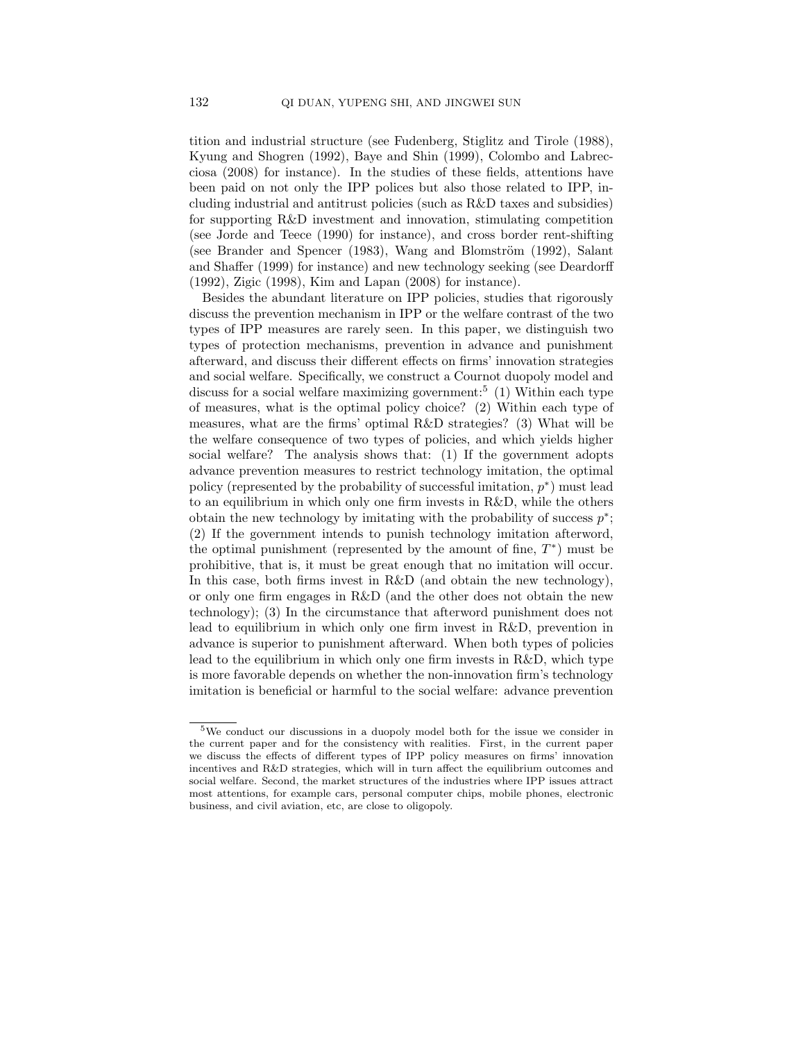tition and industrial structure (see Fudenberg, Stiglitz and Tirole (1988), Kyung and Shogren (1992), Baye and Shin (1999), Colombo and Labrecciosa (2008) for instance). In the studies of these fields, attentions have been paid on not only the IPP polices but also those related to IPP, including industrial and antitrust policies (such as R&D taxes and subsidies) for supporting R&D investment and innovation, stimulating competition (see Jorde and Teece (1990) for instance), and cross border rent-shifting (see Brander and Spencer (1983), Wang and Blomström (1992), Salant and Shaffer (1999) for instance) and new technology seeking (see Deardorff (1992), Zigic (1998), Kim and Lapan (2008) for instance).

Besides the abundant literature on IPP policies, studies that rigorously discuss the prevention mechanism in IPP or the welfare contrast of the two types of IPP measures are rarely seen. In this paper, we distinguish two types of protection mechanisms, prevention in advance and punishment afterward, and discuss their different effects on firms' innovation strategies and social welfare. Specifically, we construct a Cournot duopoly model and discuss for a social welfare maximizing government:<sup>5</sup> (1) Within each type of measures, what is the optimal policy choice? (2) Within each type of measures, what are the firms' optimal R&D strategies? (3) What will be the welfare consequence of two types of policies, and which yields higher social welfare? The analysis shows that: (1) If the government adopts advance prevention measures to restrict technology imitation, the optimal policy (represented by the probability of successful imitation,  $p^*$ ) must lead to an equilibrium in which only one firm invests in R&D, while the others obtain the new technology by imitating with the probability of success  $p^*$ ; (2) If the government intends to punish technology imitation afterword, the optimal punishment (represented by the amount of fine,  $T^*$ ) must be prohibitive, that is, it must be great enough that no imitation will occur. In this case, both firms invest in R&D (and obtain the new technology), or only one firm engages in R&D (and the other does not obtain the new technology); (3) In the circumstance that afterword punishment does not lead to equilibrium in which only one firm invest in R&D, prevention in advance is superior to punishment afterward. When both types of policies lead to the equilibrium in which only one firm invests in R&D, which type is more favorable depends on whether the non-innovation firm's technology imitation is beneficial or harmful to the social welfare: advance prevention

<sup>5</sup>We conduct our discussions in a duopoly model both for the issue we consider in the current paper and for the consistency with realities. First, in the current paper we discuss the effects of different types of IPP policy measures on firms' innovation incentives and R&D strategies, which will in turn affect the equilibrium outcomes and social welfare. Second, the market structures of the industries where IPP issues attract most attentions, for example cars, personal computer chips, mobile phones, electronic business, and civil aviation, etc, are close to oligopoly.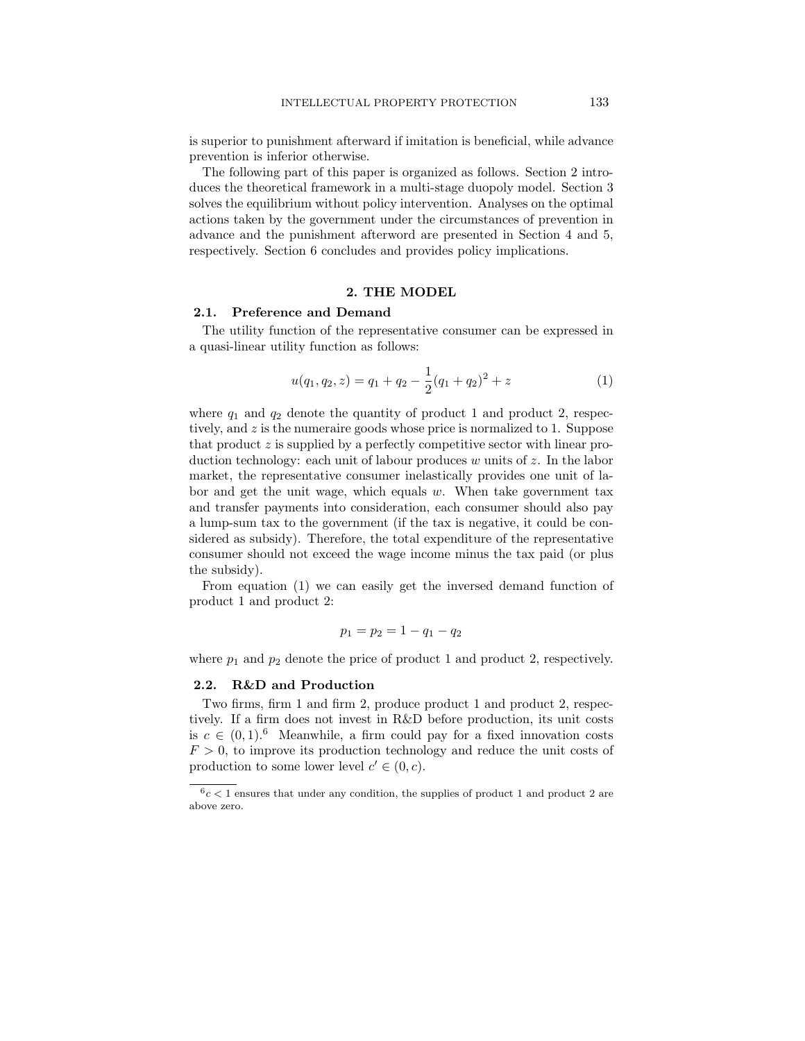is superior to punishment afterward if imitation is beneficial, while advance prevention is inferior otherwise.

The following part of this paper is organized as follows. Section 2 introduces the theoretical framework in a multi-stage duopoly model. Section 3 solves the equilibrium without policy intervention. Analyses on the optimal actions taken by the government under the circumstances of prevention in advance and the punishment afterword are presented in Section 4 and 5, respectively. Section 6 concludes and provides policy implications.

### 2. THE MODEL

### 2.1. Preference and Demand

The utility function of the representative consumer can be expressed in a quasi-linear utility function as follows:

$$
u(q_1, q_2, z) = q_1 + q_2 - \frac{1}{2}(q_1 + q_2)^2 + z \tag{1}
$$

where  $q_1$  and  $q_2$  denote the quantity of product 1 and product 2, respectively, and z is the numeraire goods whose price is normalized to 1. Suppose that product  $z$  is supplied by a perfectly competitive sector with linear production technology: each unit of labour produces w units of  $z$ . In the labor market, the representative consumer inelastically provides one unit of labor and get the unit wage, which equals  $w$ . When take government tax and transfer payments into consideration, each consumer should also pay a lump-sum tax to the government (if the tax is negative, it could be considered as subsidy). Therefore, the total expenditure of the representative consumer should not exceed the wage income minus the tax paid (or plus the subsidy).

From equation (1) we can easily get the inversed demand function of product 1 and product 2:

$$
p_1 = p_2 = 1 - q_1 - q_2
$$

where  $p_1$  and  $p_2$  denote the price of product 1 and product 2, respectively.

### 2.2. R&D and Production

Two firms, firm 1 and firm 2, produce product 1 and product 2, respectively. If a firm does not invest in R&D before production, its unit costs is  $c \in (0, 1)$ .<sup>6</sup> Meanwhile, a firm could pay for a fixed innovation costs  $F > 0$ , to improve its production technology and reduce the unit costs of production to some lower level  $c' \in (0, c)$ .

 $6c < 1$  ensures that under any condition, the supplies of product 1 and product 2 are above zero.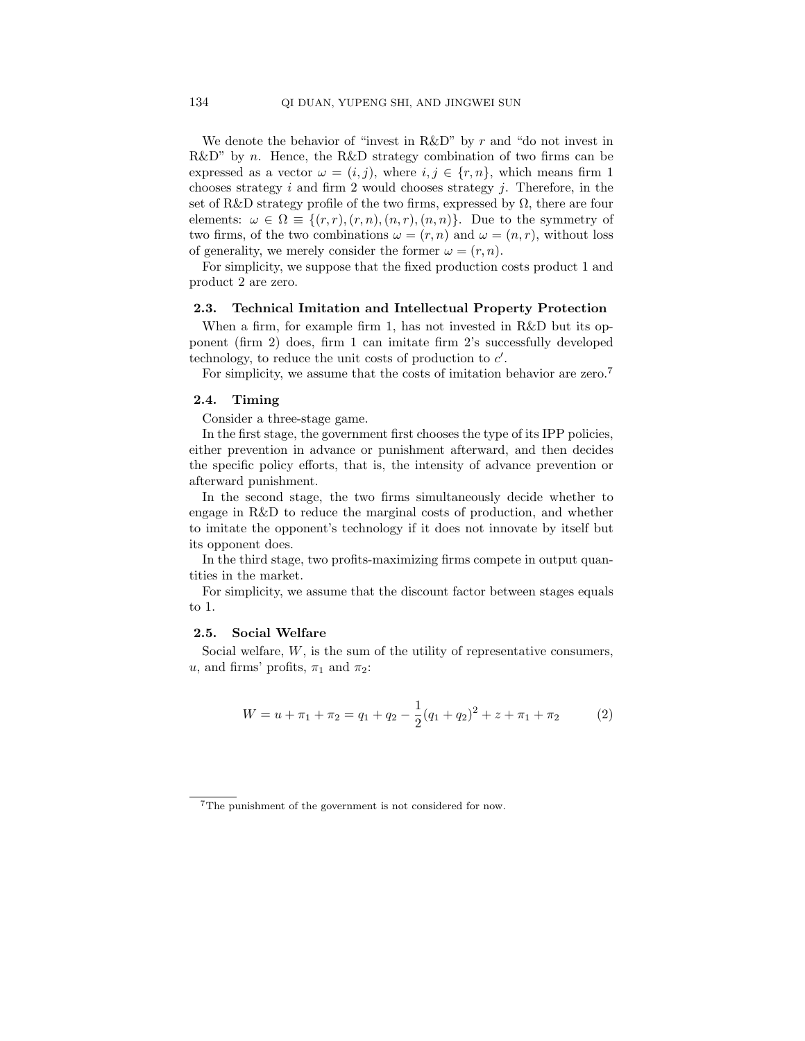We denote the behavior of "invest in  $R\&D$ " by r and "do not invest in  $R\&D^{\prime\prime}$  by n. Hence, the R&D strategy combination of two firms can be expressed as a vector  $\omega = (i, j)$ , where  $i, j \in \{r, n\}$ , which means firm 1 chooses strategy  $i$  and firm 2 would chooses strategy  $j$ . Therefore, in the set of R&D strategy profile of the two firms, expressed by  $\Omega$ , there are four elements:  $\omega \in \Omega \equiv \{(r, r), (r, n), (n, r), (n, n)\}.$  Due to the symmetry of two firms, of the two combinations  $\omega = (r, n)$  and  $\omega = (n, r)$ , without loss of generality, we merely consider the former  $\omega = (r, n)$ .

For simplicity, we suppose that the fixed production costs product 1 and product 2 are zero.

#### 2.3. Technical Imitation and Intellectual Property Protection

When a firm, for example firm 1, has not invested in R&D but its opponent (firm 2) does, firm 1 can imitate firm 2's successfully developed technology, to reduce the unit costs of production to  $c'$ .

For simplicity, we assume that the costs of imitation behavior are zero.<sup>7</sup>

### 2.4. Timing

Consider a three-stage game.

In the first stage, the government first chooses the type of its IPP policies, either prevention in advance or punishment afterward, and then decides the specific policy efforts, that is, the intensity of advance prevention or afterward punishment.

In the second stage, the two firms simultaneously decide whether to engage in R&D to reduce the marginal costs of production, and whether to imitate the opponent's technology if it does not innovate by itself but its opponent does.

In the third stage, two profits-maximizing firms compete in output quantities in the market.

For simplicity, we assume that the discount factor between stages equals to 1.

### 2.5. Social Welfare

Social welfare,  $W$ , is the sum of the utility of representative consumers, u, and firms' profits,  $\pi_1$  and  $\pi_2$ :

$$
W = u + \pi_1 + \pi_2 = q_1 + q_2 - \frac{1}{2}(q_1 + q_2)^2 + z + \pi_1 + \pi_2 \tag{2}
$$

<sup>7</sup>The punishment of the government is not considered for now.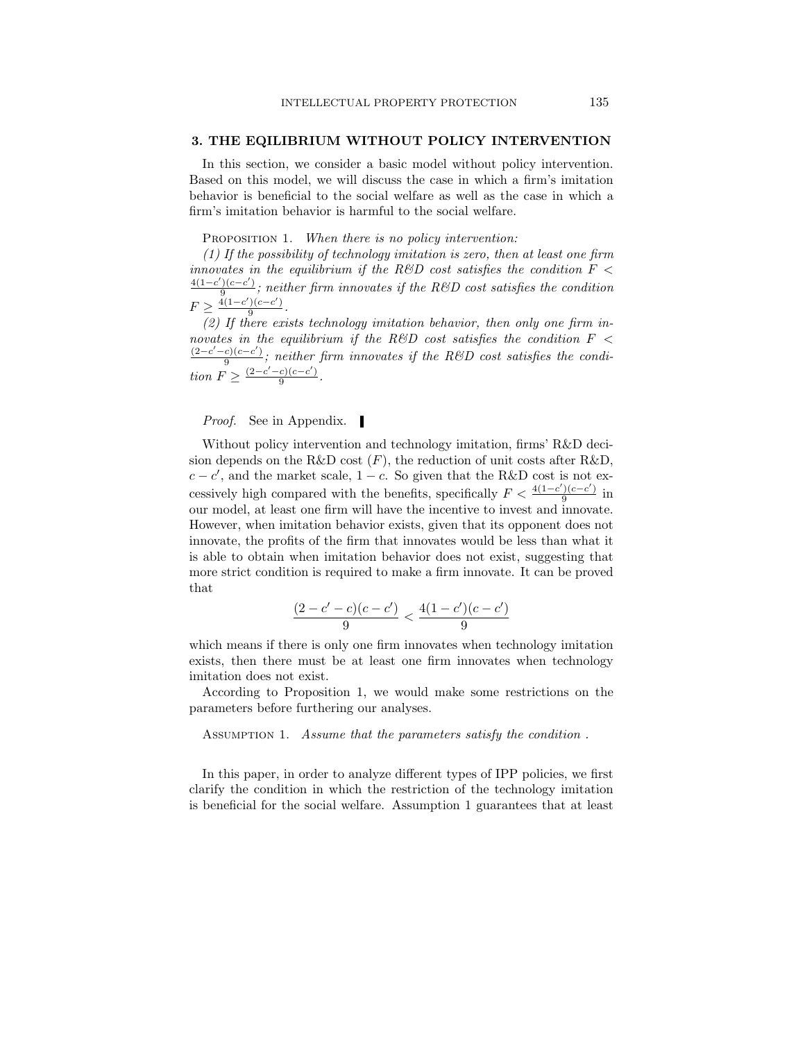### 3. THE EQILIBRIUM WITHOUT POLICY INTERVENTION

In this section, we consider a basic model without policy intervention. Based on this model, we will discuss the case in which a firm's imitation behavior is beneficial to the social welfare as well as the case in which a firm's imitation behavior is harmful to the social welfare.

# PROPOSITION 1. When there is no policy intervention:

(1) If the possibility of technology imitation is zero, then at least one firm innovates in the equilibrium if the R&D cost satisfies the condition  $F <$  $4(1-c')(c-c')$  $\frac{f(c-c)}{9}$ ; neither firm innovates if the R&D cost satisfies the condition  $F \geq \frac{4(1-c')(c-c')}{9}$  $rac{((c-c)}{9}$ .

(2) If there exists technology imitation behavior, then only one firm innovates in the equilibrium if the R&D cost satisfies the condition  $F <$  $(2-c' - c)(c - c')$  $\frac{e^{(c-c)}}{9}$ ; neither firm innovates if the R&D cost satisfies the condition  $F \geq \frac{(2-c'-c)(c-c')}{2}$  $rac{c(c-c)}{9}$ .

*Proof.* See in Appendix. ■

Without policy intervention and technology imitation, firms' R&D decision depends on the R&D cost  $(F)$ , the reduction of unit costs after R&D,  $c - c'$ , and the market scale,  $1 - c$ . So given that the R&D cost is not excessively high compared with the benefits, specifically  $F < \frac{4(1-c')(c-c')}{9}$  $rac{1}{9}$  in our model, at least one firm will have the incentive to invest and innovate. However, when imitation behavior exists, given that its opponent does not innovate, the profits of the firm that innovates would be less than what it is able to obtain when imitation behavior does not exist, suggesting that more strict condition is required to make a firm innovate. It can be proved that

$$
\frac{(2-c'-c)(c-c')}{9}<\frac{4(1-c')(c-c')}{9}
$$

which means if there is only one firm innovates when technology imitation exists, then there must be at least one firm innovates when technology imitation does not exist.

According to Proposition 1, we would make some restrictions on the parameters before furthering our analyses.

ASSUMPTION 1. Assume that the parameters satisfy the condition.

In this paper, in order to analyze different types of IPP policies, we first clarify the condition in which the restriction of the technology imitation is beneficial for the social welfare. Assumption 1 guarantees that at least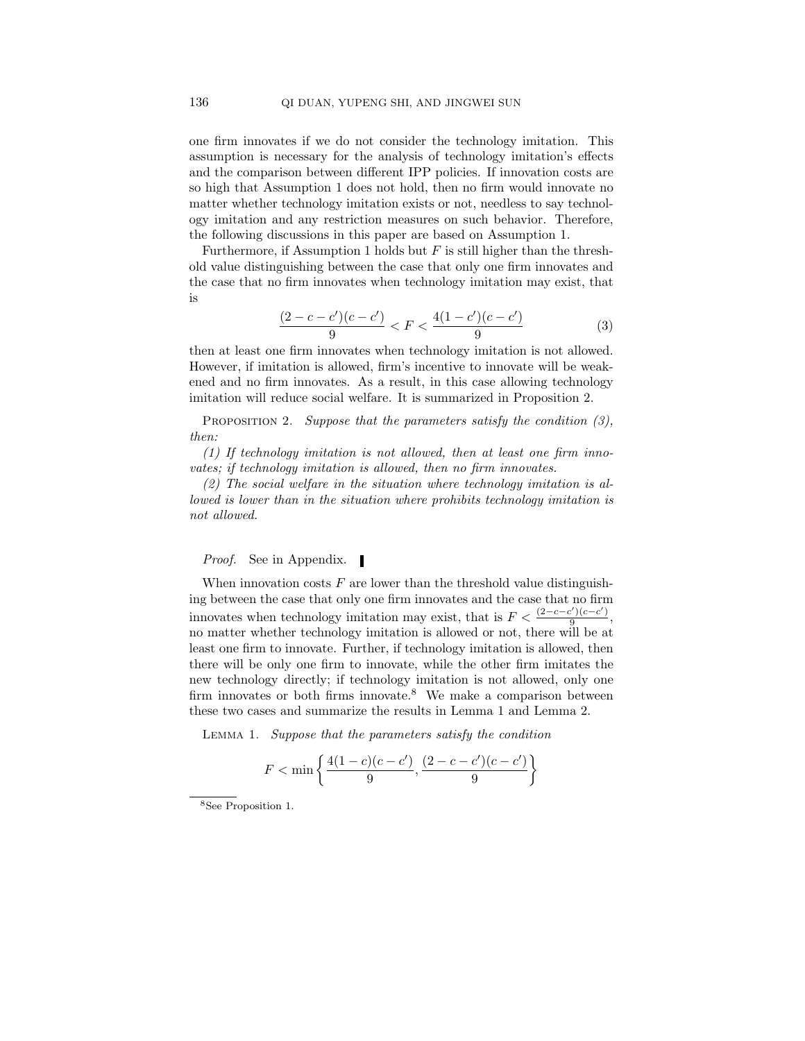one firm innovates if we do not consider the technology imitation. This assumption is necessary for the analysis of technology imitation's effects and the comparison between different IPP policies. If innovation costs are so high that Assumption 1 does not hold, then no firm would innovate no matter whether technology imitation exists or not, needless to say technology imitation and any restriction measures on such behavior. Therefore, the following discussions in this paper are based on Assumption 1.

Furthermore, if Assumption 1 holds but  $F$  is still higher than the threshold value distinguishing between the case that only one firm innovates and the case that no firm innovates when technology imitation may exist, that is

$$
\frac{(2-c-c')(c-c')}{9} < F < \frac{4(1-c')(c-c')}{9} \tag{3}
$$

then at least one firm innovates when technology imitation is not allowed. However, if imitation is allowed, firm's incentive to innovate will be weakened and no firm innovates. As a result, in this case allowing technology imitation will reduce social welfare. It is summarized in Proposition 2.

PROPOSITION 2. Suppose that the parameters satisfy the condition  $(3)$ , then:

(1) If technology imitation is not allowed, then at least one firm innovates; if technology imitation is allowed, then no firm innovates.

(2) The social welfare in the situation where technology imitation is allowed is lower than in the situation where prohibits technology imitation is not allowed.

*Proof.* See in Appendix. ■

When innovation costs  $F$  are lower than the threshold value distinguishing between the case that only one firm innovates and the case that no firm innovates when technology imitation may exist, that is  $F < \frac{(2-c-c')(c-c')}{9}$  $\frac{(c-c)}{9},$ no matter whether technology imitation is allowed or not, there will be at least one firm to innovate. Further, if technology imitation is allowed, then there will be only one firm to innovate, while the other firm imitates the new technology directly; if technology imitation is not allowed, only one firm innovates or both firms innovate.<sup>8</sup> We make a comparison between these two cases and summarize the results in Lemma 1 and Lemma 2.

Lemma 1. Suppose that the parameters satisfy the condition

$$
F < \min\left\{\frac{4(1-c)(c-c')}{9}, \frac{(2-c-c')(c-c')}{9}\right\}
$$

<sup>8</sup>See Proposition 1.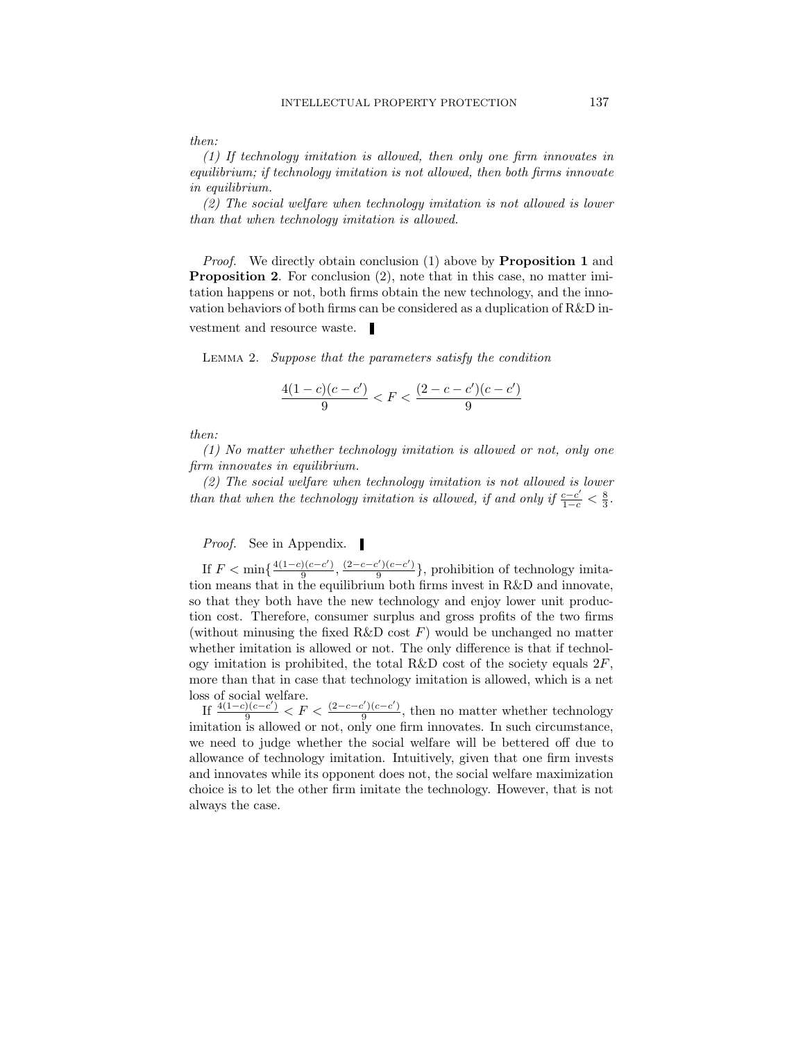(1) If technology imitation is allowed, then only one firm innovates in equilibrium; if technology imitation is not allowed, then both firms innovate in equilibrium.

(2) The social welfare when technology imitation is not allowed is lower than that when technology imitation is allowed.

Proof. We directly obtain conclusion (1) above by **Proposition 1** and Proposition 2. For conclusion (2), note that in this case, no matter imitation happens or not, both firms obtain the new technology, and the innovation behaviors of both firms can be considered as a duplication of R&D investment and resource waste.

Lemma 2. Suppose that the parameters satisfy the condition

$$
\frac{4(1-c)(c-c')}{9} < F < \frac{(2-c-c')(c-c')}{9}
$$

then:

(1) No matter whether technology imitation is allowed or not, only one firm innovates in equilibrium.

(2) The social welfare when technology imitation is not allowed is lower than that when the technology imitation is allowed, if and only if  $\frac{c-c'}{1-c} < \frac{8}{3}$ .

*Proof.* See in Appendix.

If  $F < \min\left\{\frac{4(1-c)(c-c')}{\alpha}\right\}$  $\frac{((c-c')}{9}, \frac{(2-c-c')(c-c')}{9}$  $\frac{g(2)(c-c)}{9}$ , prohibition of technology imitation means that in the equilibrium both firms invest in R&D and innovate, so that they both have the new technology and enjoy lower unit production cost. Therefore, consumer surplus and gross profits of the two firms (without minusing the fixed R&D cost  $F$ ) would be unchanged no matter whether imitation is allowed or not. The only difference is that if technology imitation is prohibited, the total R&D cost of the society equals  $2F$ , more than that in case that technology imitation is allowed, which is a net loss of social welfare.

If  $\frac{4(1-c)(c-c')}{9} < F < \frac{(2-c-c')(c-c')}{9}$  $\frac{e^{j}(c-c)}{9}$ , then no matter whether technology imitation is allowed or not, only one firm innovates. In such circumstance, we need to judge whether the social welfare will be bettered off due to allowance of technology imitation. Intuitively, given that one firm invests and innovates while its opponent does not, the social welfare maximization choice is to let the other firm imitate the technology. However, that is not always the case.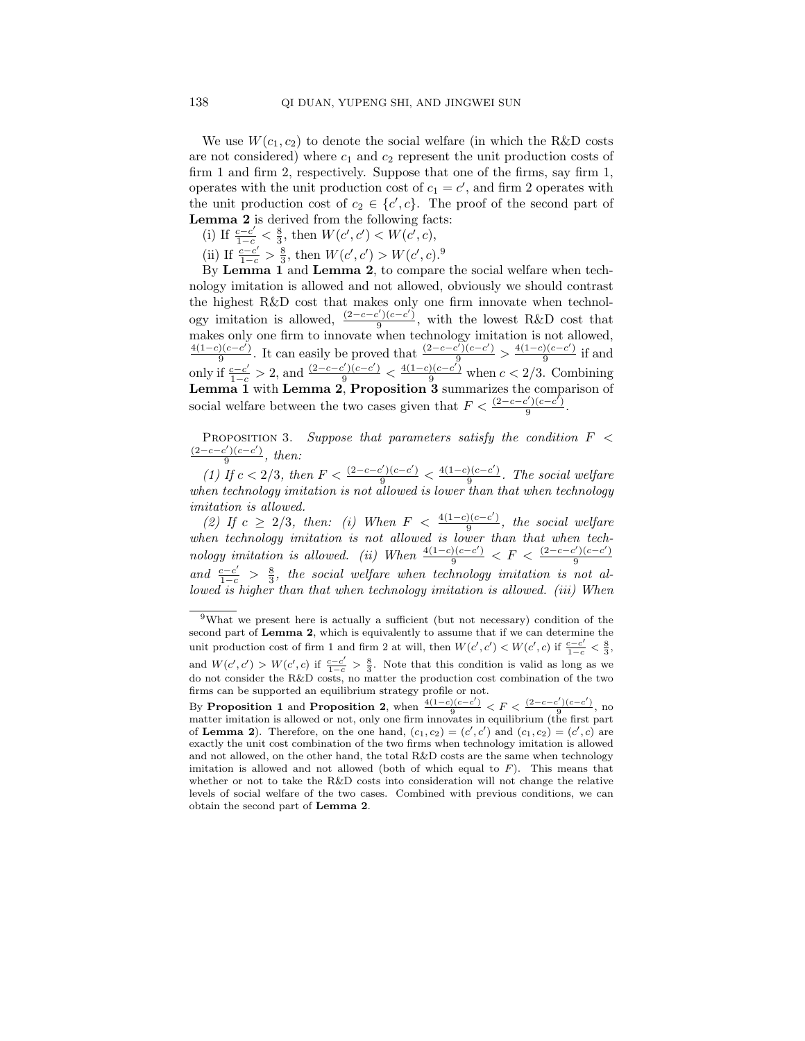We use  $W(c_1, c_2)$  to denote the social welfare (in which the R&D costs are not considered) where  $c_1$  and  $c_2$  represent the unit production costs of firm 1 and firm 2, respectively. Suppose that one of the firms, say firm 1, operates with the unit production cost of  $c_1 = c'$ , and firm 2 operates with the unit production cost of  $c_2 \in \{c', c\}$ . The proof of the second part of Lemma 2 is derived from the following facts:

- (i) If  $\frac{c-c'}{1-c} < \frac{8}{3}$ , then  $W(c', c') < W(c', c)$ ,
- (ii) If  $\frac{c-c'}{1-c} > \frac{8}{3}$ , then  $W(c', c') > W(c', c)$ .<sup>9</sup>

By Lemma 1 and Lemma 2, to compare the social welfare when technology imitation is allowed and not allowed, obviously we should contrast the highest R&D cost that makes only one firm innovate when technology imitation is allowed,  $\frac{(2-c-c')(c-c')}{9}$  $\frac{(\frac{1}{2})(c-c)}{9}$ , with the lowest R&D cost that makes only one firm to innovate when technology imitation is not allowed,  $4(1-c)(c-c^{\prime})$  $\frac{(\overline{c}-c')}{9}$ . It can easily be proved that  $\frac{(2-c-c')(c-c')}{9} > \frac{4(1-c)(c-c')}{9}$  $rac{1}{9}$  if and only if  $\frac{c-c'}{1-c} > 2$ , and  $\frac{(2-c-c')(c-c')}{9} < \frac{4(1-c)(c-c')}{9}$  when  $c < 2/3$ . Combining Lemma 1 with Lemma 2, Proposition 3 summarizes the comparison of social welfare between the two cases given that  $F < \frac{(2-c-c')(c-c')}{9}$ 9 .

PROPOSITION 3. Suppose that parameters satisfy the condition  $F <$  $(2-c-c')(c-c')$  $\frac{\binom{c-c}{9}}{2}$ , then:

(1) If  $c < 2/3$ , then  $F < \frac{(2-c-c')(c-c')}{9} < \frac{4(1-c)(c-c')}{9}$  $\frac{9}{9}$ . The social welfare when technology imitation is not allowed is lower than that when technology imitation is allowed.

(2) If  $c \geq 2/3$ , then: (i) When  $F < \frac{4(1-c)(c-c')}{9}$  $\frac{9}{9}$ , the social welfare when technology imitation is not allowed is lower than that when technology imitation is allowed. (ii) When  $\frac{4(1-c)(c-c')}{9} < F < \frac{(2-c-c')(c-c')}{9}$ 9 and  $\frac{c-c'}{1-c} > \frac{8}{3}$ , the social welfare when technology imitation is not allowed is higher than that when technology imitation is allowed. (iii) When

<sup>9</sup>What we present here is actually a sufficient (but not necessary) condition of the second part of Lemma 2, which is equivalently to assume that if we can determine the unit production cost of firm 1 and firm 2 at will, then  $W(c', c') < W(c', c)$  if  $\frac{c - c'}{1 - c} < \frac{8}{3}$ , and  $W(c', c') > W(c', c)$  if  $\frac{c-c'}{1-c} > \frac{8}{3}$ . Note that this condition is valid as long as we do not consider the R&D costs, no matter the production cost combination of the two firms can be supported an equilibrium strategy profile or not.

By Proposition 1 and Proposition 2, when  $\frac{4(1-c)(c-c')}{9} < F < \frac{(2-c-c')(c-c')}{9}$ , no matter imitation is allowed or not, only one firm innovates in equilibrium (the first part of **Lemma 2**). Therefore, on the one hand,  $(c_1, c_2) = (c', c')$  and  $(c_1, c_2) = (c', c)$  are exactly the unit cost combination of the two firms when technology imitation is allowed and not allowed, on the other hand, the total R&D costs are the same when technology imitation is allowed and not allowed (both of which equal to  $F$ ). This means that whether or not to take the R&D costs into consideration will not change the relative levels of social welfare of the two cases. Combined with previous conditions, we can obtain the second part of Lemma 2.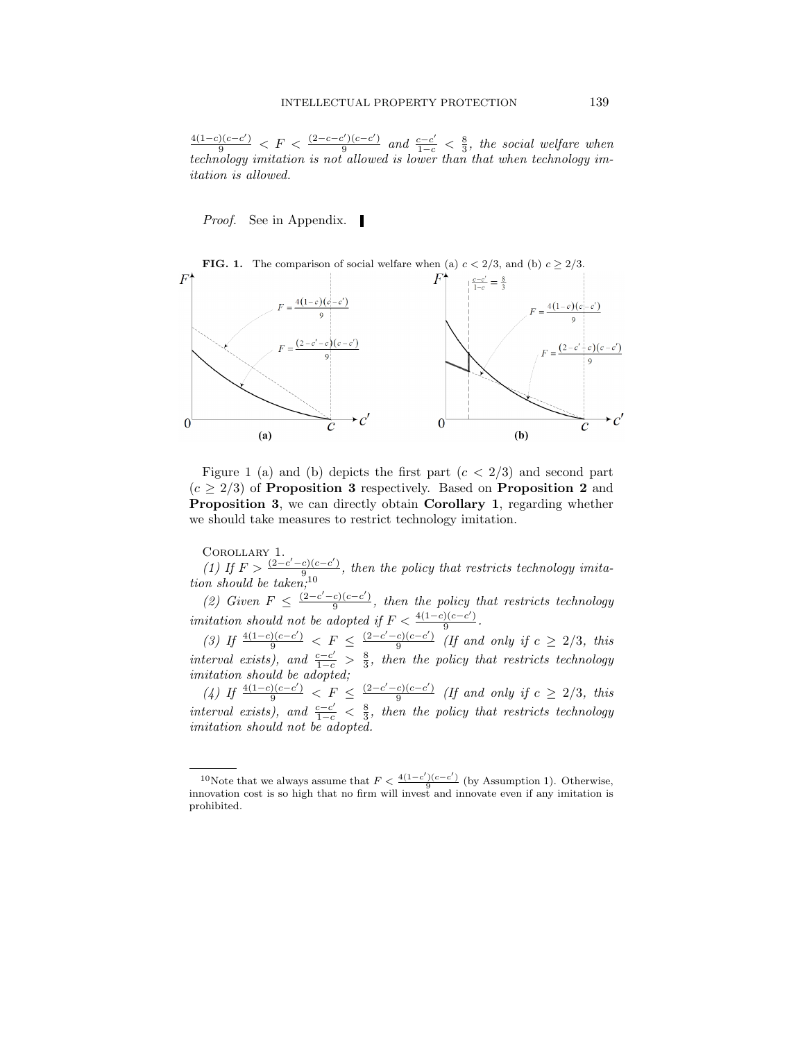$\frac{4(1-c)(c-c')}{9}$  <  $F$  <  $\frac{(2-c-c')(c-c')}{9}$  $\frac{c^2}{c^2}$  and  $\frac{c-c'}{1-c} < \frac{8}{3}$ , the social welfare when technology imitation is not allowed is lower than that when technology imitation is allowed.

*Proof.* See in Appendix.



Figure 1 (a) and (b) depicts the first part  $(c < 2/3)$  and second part  $(c \geq 2/3)$  of **Proposition 3** respectively. Based on **Proposition 2** and Proposition 3, we can directly obtain Corollary 1, regarding whether

we should take measures to restrict technology imitation.

Corollary 1. (1) If  $F > \frac{(2-c'-c)(c-c')}{9}$  $\frac{e_1(e-c)}{e_1}$ , then the policy that restricts technology imitation should be taken;<sup>10</sup>

(2) Given  $F \leq \frac{(2-c'-c)(c-c')}{9}$  $\frac{c_1(c-c)}{9}$ , then the policy that restricts technology imitation should not be adopted if  $F < \frac{4(1-c)(c-c')}{9}$  $\frac{1(c-c)}{9}$ .

(3) If  $\frac{4(1-c)(c-c')}{9} < F \leq \frac{(2-c'-c)(c-c')}{9}$  $\frac{c_1(c-c)}{9}$  (If and only if  $c \geq 2/3$ , this interval exists), and  $\frac{c-c'}{1-c} > \frac{8}{3}$ , then the policy that restricts technology imitation should be adopted;

(4) If  $\frac{4(1-c)(c-c')}{9}$  < F  $\leq \frac{(2-c'-c)(c-c')}{9}$  $\frac{c_1(c-c)}{9}$  (If and only if  $c \geq 2/3$ , this interval exists), and  $\frac{c-c'}{1-c} < \frac{8}{3}$ , then the policy that restricts technology imitation should not be adopted.

<sup>&</sup>lt;sup>10</sup>Note that we always assume that  $F < \frac{4(1-c')(c-c')}{9}$  (by Assumption 1). Otherwise, innovation cost is so high that no firm will invest and innovate even if any imitation is prohibited.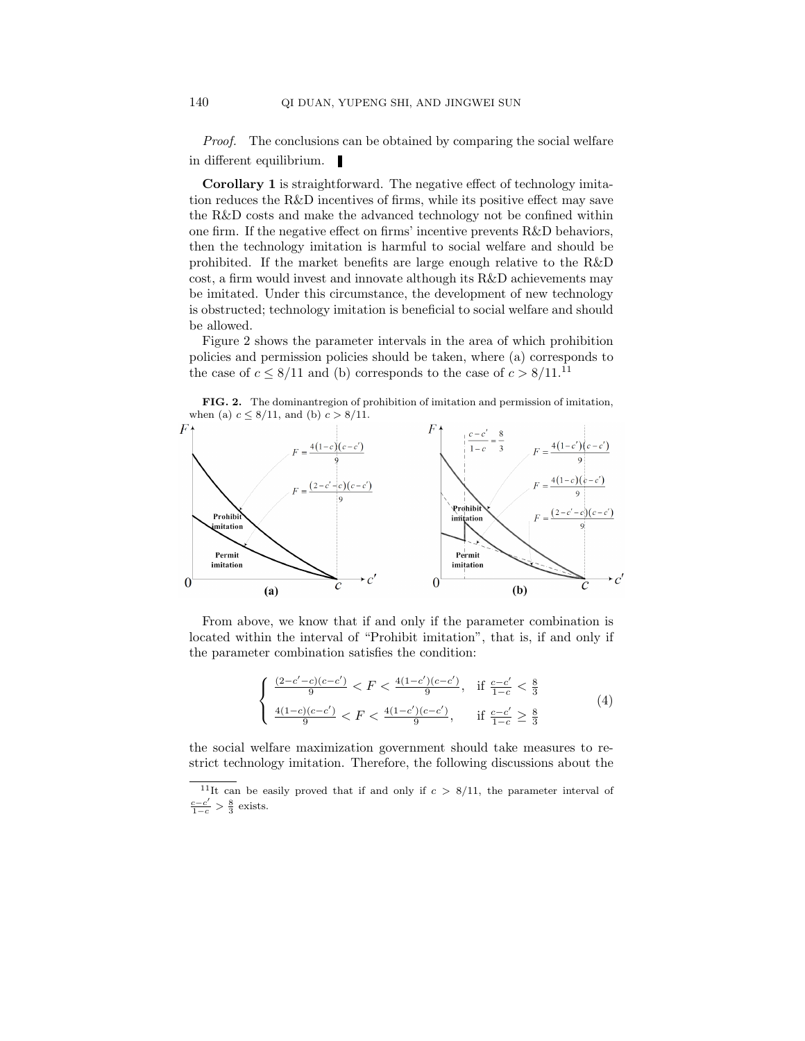Proof. The conclusions can be obtained by comparing the social welfare in different equilibrium.

Corollary 1 is straightforward. The negative effect of technology imitation reduces the R&D incentives of firms, while its positive effect may save the R&D costs and make the advanced technology not be confined within one firm. If the negative effect on firms' incentive prevents R&D behaviors, then the technology imitation is harmful to social welfare and should be prohibited. If the market benefits are large enough relative to the R&D cost, a firm would invest and innovate although its R&D achievements may be imitated. Under this circumstance, the development of new technology is obstructed; technology imitation is beneficial to social welfare and should be allowed.

Figure 2 shows the parameter intervals in the area of which prohibition policies and permission policies should be taken, where (a) corresponds to the case of  $c \leq 8/11$  and (b) corresponds to the case of  $c > 8/11$ .<sup>11</sup>

FIG. 2. The dominantregion of prohibition of imitation and permission of imitation, when (a)  $c \leq 8/11$ , and (b)  $c > 8/11$ .



From above, we know that if and only if the parameter combination is located within the interval of "Prohibit imitation", that is, if and only if the parameter combination satisfies the condition:

$$
\begin{cases} \frac{(2-c'-c)(c-c')}{9} < F < \frac{4(1-c')(c-c')}{9}, \quad \text{if } \frac{c-c'}{1-c} < \frac{8}{3} \\ \frac{4(1-c)(c-c')}{9} < F < \frac{4(1-c')(c-c')}{9}, \quad \text{if } \frac{c-c'}{1-c} \ge \frac{8}{3} \end{cases} \tag{4}
$$

the social welfare maximization government should take measures to restrict technology imitation. Therefore, the following discussions about the

<sup>&</sup>lt;sup>11</sup>It can be easily proved that if and only if  $c > 8/11$ , the parameter interval of  $\frac{c-c'}{1-c} > \frac{8}{3}$  exists.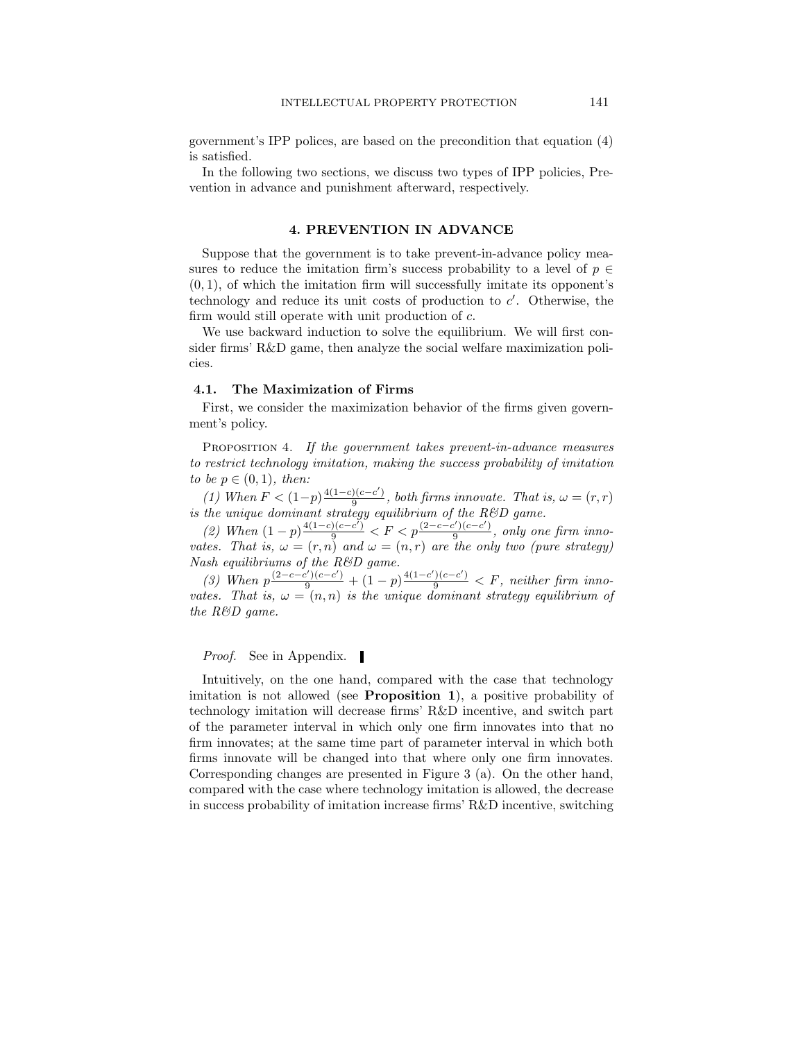government's IPP polices, are based on the precondition that equation (4) is satisfied.

In the following two sections, we discuss two types of IPP policies, Prevention in advance and punishment afterward, respectively.

### 4. PREVENTION IN ADVANCE

Suppose that the government is to take prevent-in-advance policy measures to reduce the imitation firm's success probability to a level of  $p \in$  $(0, 1)$ , of which the imitation firm will successfully imitate its opponent's technology and reduce its unit costs of production to  $c'$ . Otherwise, the firm would still operate with unit production of c.

We use backward induction to solve the equilibrium. We will first consider firms' R&D game, then analyze the social welfare maximization policies.

# 4.1. The Maximization of Firms

First, we consider the maximization behavior of the firms given government's policy.

PROPOSITION 4. If the government takes prevent-in-advance measures to restrict technology imitation, making the success probability of imitation to be  $p \in (0,1)$ , then:

(1) When  $F < (1-p)^{\frac{4(1-c)(c-c')}{a}}$  $\frac{f(c-c)}{9}$ , both firms innovate. That is,  $\omega = (r,r)$ is the unique dominant strategy equilibrium of the  $R\&D$  game.

(2) When  $(1-p)^{\frac{4(1-c)(c-c^{\gamma})}{9}} < F < p^{\frac{(2-c-c^{\prime})(c-c^{\prime})}{9}}$  $\frac{g(y)(c-c)}{9}$ , only one firm innovates. That is,  $\omega = (r, n)$  and  $\omega = (n, r)$  are the only two (pure strategy) Nash equilibriums of the R&D game.

(3) When  $p \frac{(2-c-c')(c-c')}{9} + (1-p) \frac{4(1-c')(c-c')}{9} < F$ , neither firm innovates. That is,  $\omega = (n, n)$  is the unique dominant strategy equilibrium of the R&D game.

*Proof.* See in Appendix.

Intuitively, on the one hand, compared with the case that technology imitation is not allowed (see Proposition 1), a positive probability of technology imitation will decrease firms' R&D incentive, and switch part of the parameter interval in which only one firm innovates into that no firm innovates; at the same time part of parameter interval in which both firms innovate will be changed into that where only one firm innovates. Corresponding changes are presented in Figure 3 (a). On the other hand, compared with the case where technology imitation is allowed, the decrease in success probability of imitation increase firms' R&D incentive, switching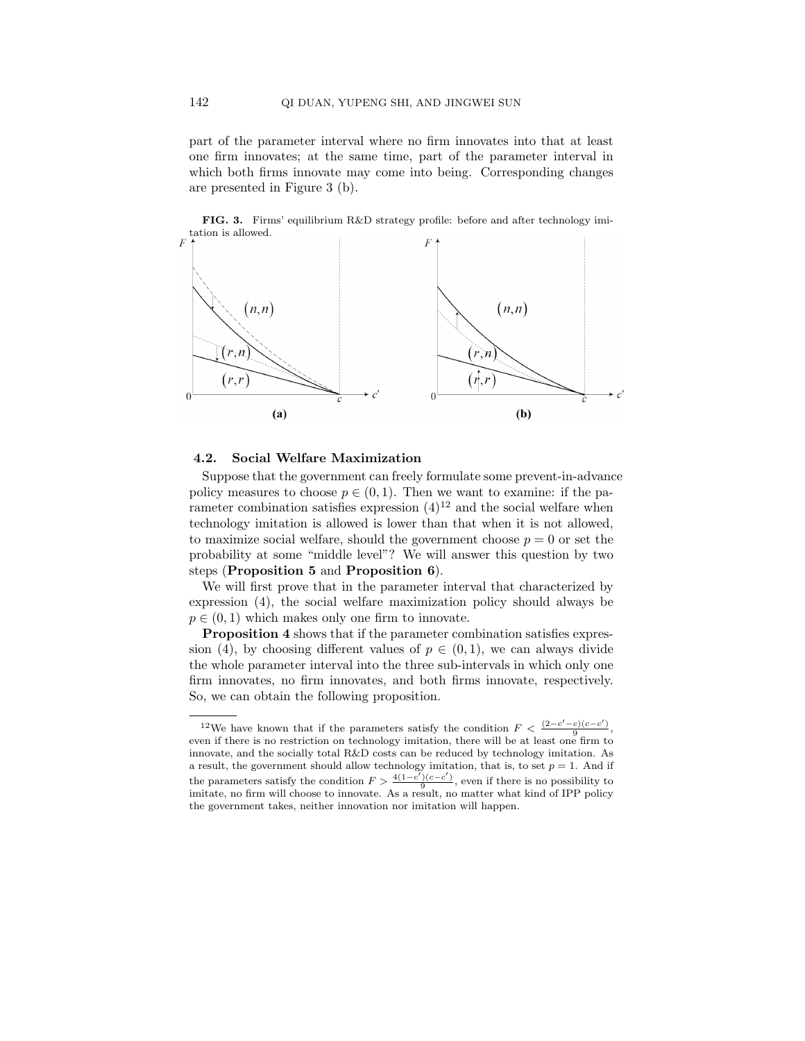part of the parameter interval where no firm innovates into that at least one firm innovates; at the same time, part of the parameter interval in which both firms innovate may come into being. Corresponding changes are presented in Figure 3 (b).

FIG. 3. Firms' equilibrium R&D strategy profile: before and after technology imitation is allowed.



# 4.2. Social Welfare Maximization

Suppose that the government can freely formulate some prevent-in-advance policy measures to choose  $p \in (0,1)$ . Then we want to examine: if the parameter combination satisfies expression  $(4)^{12}$  and the social welfare when technology imitation is allowed is lower than that when it is not allowed, to maximize social welfare, should the government choose  $p = 0$  or set the probability at some "middle level"? We will answer this question by two steps (Proposition 5 and Proposition 6).

We will first prove that in the parameter interval that characterized by expression (4), the social welfare maximization policy should always be  $p \in (0, 1)$  which makes only one firm to innovate.

Proposition 4 shows that if the parameter combination satisfies expression (4), by choosing different values of  $p \in (0,1)$ , we can always divide the whole parameter interval into the three sub-intervals in which only one firm innovates, no firm innovates, and both firms innovate, respectively. So, we can obtain the following proposition.

<sup>&</sup>lt;sup>12</sup>We have known that if the parameters satisfy the condition  $F < \frac{(2-c'-c)(c-c')}{9}$ , even if there is no restriction on technology imitation, there will be at least one firm to innovate, and the socially total R&D costs can be reduced by technology imitation. As a result, the government should allow technology imitation, that is, to set  $p = 1$ . And if the parameters satisfy the condition  $F > \frac{4(1-c')(c-c')}{9}$ , even if there is no possibility to imitate, no firm will choose to innovate. As a result, no matter what kind of IPP policy the government takes, neither innovation nor imitation will happen.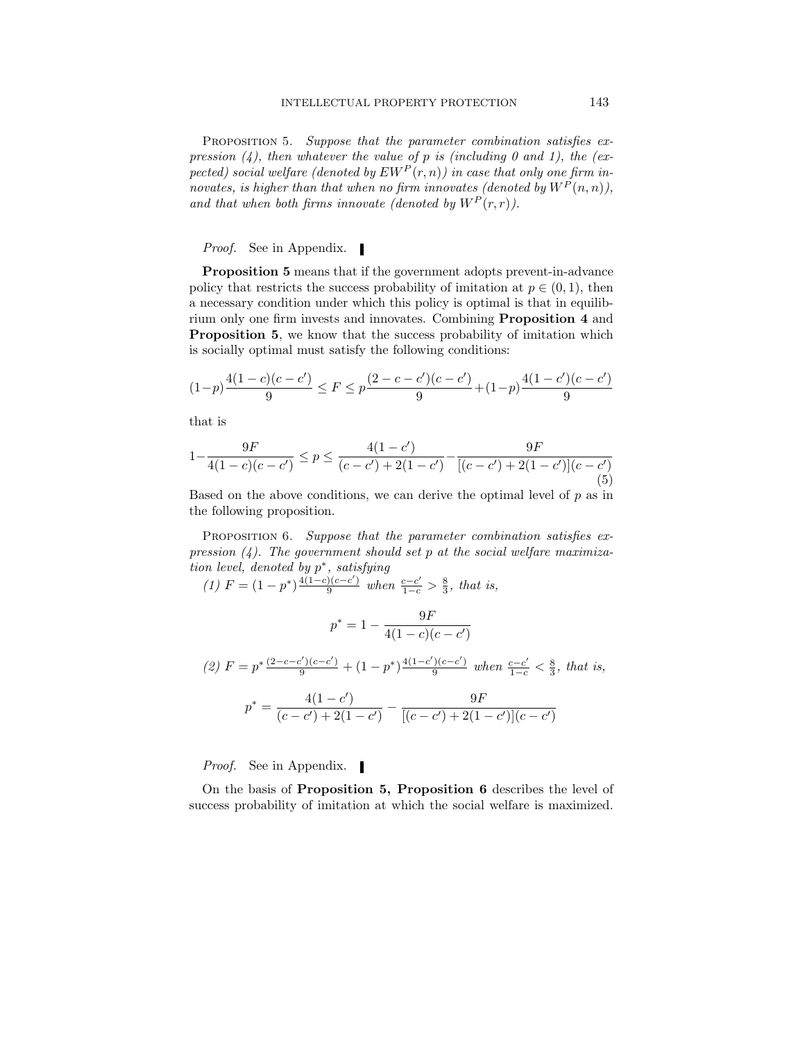PROPOSITION 5. Suppose that the parameter combination satisfies expression  $(4)$ , then whatever the value of p is (including 0 and 1), the (expected) social welfare (denoted by  $E W^P(r,n)$ ) in case that only one firm innovates, is higher than that when no firm innovates (denoted by  $W^{P}(n,n)$ ), and that when both firms innovate (denoted by  $W^P(r,r)$ ).

*Proof.* See in Appendix.

Proposition 5 means that if the government adopts prevent-in-advance policy that restricts the success probability of imitation at  $p \in (0, 1)$ , then a necessary condition under which this policy is optimal is that in equilibrium only one firm invests and innovates. Combining Proposition 4 and Proposition 5, we know that the success probability of imitation which is socially optimal must satisfy the following conditions:

$$
(1-p)\frac{4(1-c)(c-c')}{9} \le F \le p\frac{(2-c-c')(c-c')}{9} + (1-p)\frac{4(1-c')(c-c')}{9}
$$

that is

$$
1 - \frac{9F}{4(1-c)(c-c')} \le p \le \frac{4(1-c')}{(c-c')+2(1-c')} - \frac{9F}{[(c-c')+2(1-c')](c-c')} \tag{5}
$$

Based on the above conditions, we can derive the optimal level of  $p$  as in the following proposition.

PROPOSITION 6. Suppose that the parameter combination satisfies expression  $(4)$ . The government should set p at the social welfare maximization level, denoted by  $p^*$ , satisfying

(1) 
$$
F = (1 - p^*) \frac{4(1 - c)(c - c')}{9}
$$
 when  $\frac{c - c'}{1 - c} > \frac{8}{3}$ , that is,  
\n
$$
p^* = 1 - \frac{9F}{4(1 - c)(c - c')}
$$
\n(2)  $F = p^* \frac{(2 - c - c')(c - c')}{9} + (1 - p^*) \frac{4(1 - c')(c - c')}{9}$  when  $\frac{c - c'}{1 - c} < \frac{8}{3}$ , that is,  
\n
$$
p^* = \frac{4(1 - c')}{(c - c') + 2(1 - c')} - \frac{9F}{[(c - c') + 2(1 - c')] (c - c')}
$$

Proof. See in Appendix.

On the basis of Proposition 5, Proposition 6 describes the level of success probability of imitation at which the social welfare is maximized.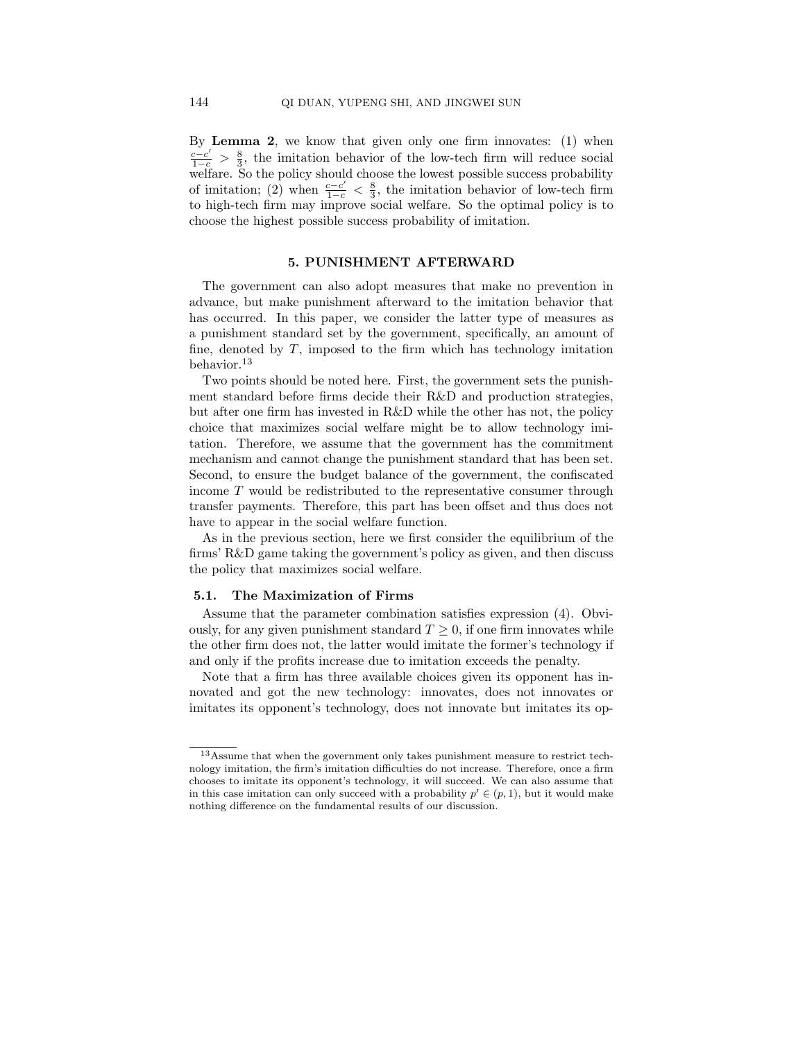By Lemma 2, we know that given only one firm innovates: (1) when  $\frac{c-c'}{1-c} > \frac{8}{3}$ , the imitation behavior of the low-tech firm will reduce social welfare. So the policy should choose the lowest possible success probability of imitation; (2) when  $\frac{c-c'}{1-c} < \frac{8}{3}$ , the imitation behavior of low-tech firm to high-tech firm may improve social welfare. So the optimal policy is to choose the highest possible success probability of imitation.

### 5. PUNISHMENT AFTERWARD

The government can also adopt measures that make no prevention in advance, but make punishment afterward to the imitation behavior that has occurred. In this paper, we consider the latter type of measures as a punishment standard set by the government, specifically, an amount of fine, denoted by  $T$ , imposed to the firm which has technology imitation behavior.<sup>13</sup>

Two points should be noted here. First, the government sets the punishment standard before firms decide their R&D and production strategies, but after one firm has invested in R&D while the other has not, the policy choice that maximizes social welfare might be to allow technology imitation. Therefore, we assume that the government has the commitment mechanism and cannot change the punishment standard that has been set. Second, to ensure the budget balance of the government, the confiscated income T would be redistributed to the representative consumer through transfer payments. Therefore, this part has been offset and thus does not have to appear in the social welfare function.

As in the previous section, here we first consider the equilibrium of the firms' R&D game taking the government's policy as given, and then discuss the policy that maximizes social welfare.

#### 5.1. The Maximization of Firms

Assume that the parameter combination satisfies expression (4). Obviously, for any given punishment standard  $T \geq 0$ , if one firm innovates while the other firm does not, the latter would imitate the former's technology if and only if the profits increase due to imitation exceeds the penalty.

Note that a firm has three available choices given its opponent has innovated and got the new technology: innovates, does not innovates or imitates its opponent's technology, does not innovate but imitates its op-

<sup>13</sup>Assume that when the government only takes punishment measure to restrict technology imitation, the firm's imitation difficulties do not increase. Therefore, once a firm chooses to imitate its opponent's technology, it will succeed. We can also assume that in this case imitation can only succeed with a probability  $p' \in (p, 1)$ , but it would make nothing difference on the fundamental results of our discussion.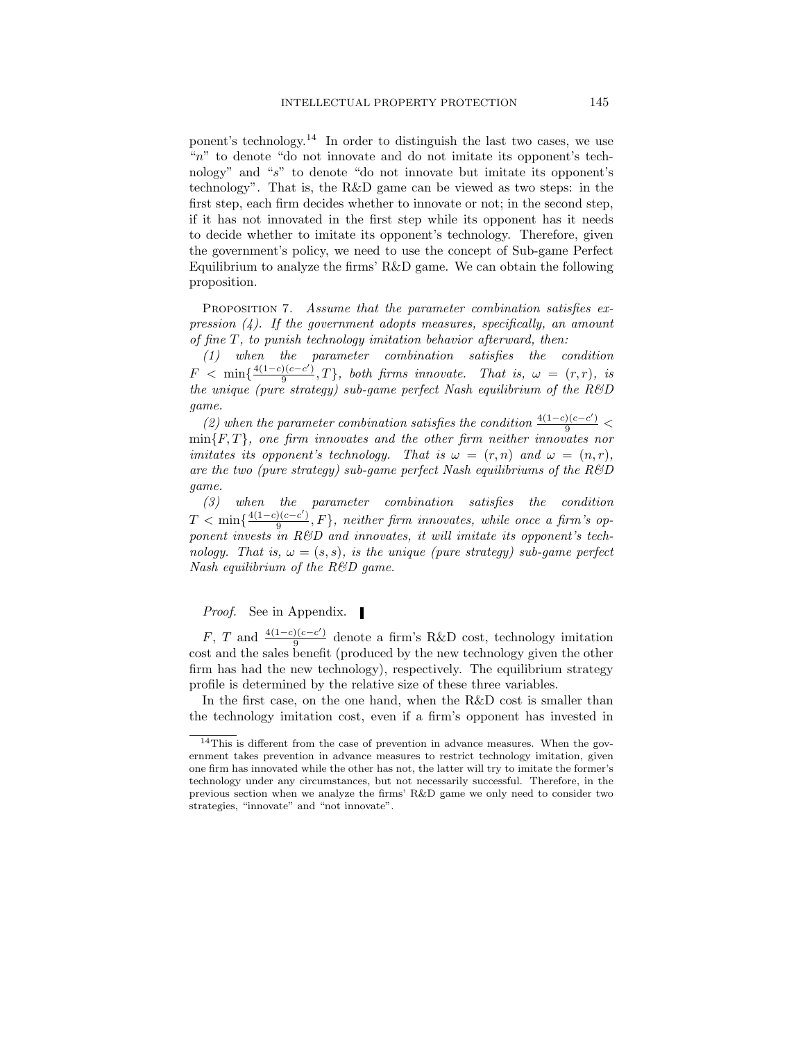ponent's technology.<sup>14</sup> In order to distinguish the last two cases, we use "n" to denote "do not innovate and do not imitate its opponent's technology" and "s" to denote "do not innovate but imitate its opponent's technology". That is, the R&D game can be viewed as two steps: in the first step, each firm decides whether to innovate or not; in the second step, if it has not innovated in the first step while its opponent has it needs to decide whether to imitate its opponent's technology. Therefore, given the government's policy, we need to use the concept of Sub-game Perfect Equilibrium to analyze the firms' R&D game. We can obtain the following proposition.

PROPOSITION 7. Assume that the parameter combination satisfies expression  $(4)$ . If the government adopts measures, specifically, an amount of fine T, to punish technology imitation behavior afterward, then:

(1) when the parameter combination satisfies the condition  $F < \min\{\frac{4(1-c)(c-c')}{9}$  $\frac{f(c-c)}{9}$ , T}, both firms innovate. That is,  $\omega = (r,r)$ , is the unique (pure strategy) sub-game perfect Nash equilibrium of the  $R\&D$ game.

(2) when the parameter combination satisfies the condition  $\frac{4(1-c)(c-c')}{9}$  $\min\{F,T\}$ , one firm innovates and the other firm neither innovates nor imitates its opponent's technology. That is  $\omega = (r, n)$  and  $\omega = (n, r)$ , are the two (pure strategy) sub-game perfect Nash equilibriums of the  $R\&D$ game.

(3) when the parameter combination satisfies the condition  $T < \min\{\frac{4(1-c)(c-c')}{\alpha}$  $\frac{f(c-c)}{9}$ ,  $F$ , neither firm innovates, while once a firm's opponent invests in R&D and innovates, it will imitate its opponent's technology. That is,  $\omega = (s, s)$ , is the unique (pure strategy) sub-game perfect Nash equilibrium of the R&D game.

*Proof.* See in Appendix.

 $F, T$  and  $\frac{4(1-c)(c-c')}{9}$  $\frac{9(e-e)}{9}$  denote a firm's R&D cost, technology imitation cost and the sales benefit (produced by the new technology given the other firm has had the new technology), respectively. The equilibrium strategy profile is determined by the relative size of these three variables.

In the first case, on the one hand, when the R&D cost is smaller than the technology imitation cost, even if a firm's opponent has invested in

<sup>14</sup>This is different from the case of prevention in advance measures. When the government takes prevention in advance measures to restrict technology imitation, given one firm has innovated while the other has not, the latter will try to imitate the former's technology under any circumstances, but not necessarily successful. Therefore, in the previous section when we analyze the firms' R&D game we only need to consider two strategies, "innovate" and "not innovate".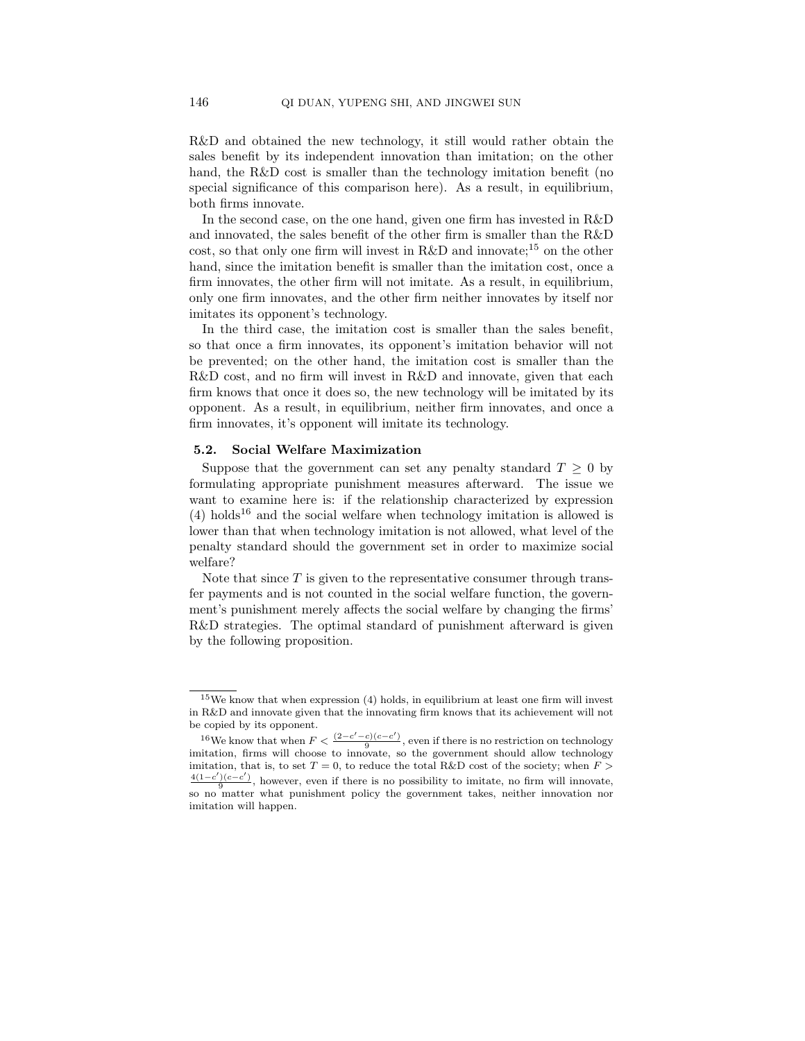R&D and obtained the new technology, it still would rather obtain the sales benefit by its independent innovation than imitation; on the other hand, the R&D cost is smaller than the technology imitation benefit (no special significance of this comparison here). As a result, in equilibrium, both firms innovate.

In the second case, on the one hand, given one firm has invested in R&D and innovated, the sales benefit of the other firm is smaller than the R&D cost, so that only one firm will invest in R&D and innovate;<sup>15</sup> on the other hand, since the imitation benefit is smaller than the imitation cost, once a firm innovates, the other firm will not imitate. As a result, in equilibrium, only one firm innovates, and the other firm neither innovates by itself nor imitates its opponent's technology.

In the third case, the imitation cost is smaller than the sales benefit, so that once a firm innovates, its opponent's imitation behavior will not be prevented; on the other hand, the imitation cost is smaller than the R&D cost, and no firm will invest in R&D and innovate, given that each firm knows that once it does so, the new technology will be imitated by its opponent. As a result, in equilibrium, neither firm innovates, and once a firm innovates, it's opponent will imitate its technology.

#### 5.2. Social Welfare Maximization

Suppose that the government can set any penalty standard  $T \geq 0$  by formulating appropriate punishment measures afterward. The issue we want to examine here is: if the relationship characterized by expression  $(4)$  holds<sup>16</sup> and the social welfare when technology imitation is allowed is lower than that when technology imitation is not allowed, what level of the penalty standard should the government set in order to maximize social welfare?

Note that since  $T$  is given to the representative consumer through transfer payments and is not counted in the social welfare function, the government's punishment merely affects the social welfare by changing the firms' R&D strategies. The optimal standard of punishment afterward is given by the following proposition.

 $^{15}\mathrm{We}$  know that when expression (4) holds, in equilibrium at least one firm will invest in R&D and innovate given that the innovating firm knows that its achievement will not be copied by its opponent.

<sup>&</sup>lt;sup>16</sup>We know that when  $F < \frac{(2-c'-c)(c-c')}{9}$ , even if there is no restriction on technology imitation, firms will choose to innovate, so the government should allow technology imitation, that is, to set  $T = 0$ , to reduce the total R&D cost of the society; when  $F >$  $\frac{4(1-c')(c-c')}{9}$ , however, even if there is no possibility to imitate, no firm will innovate, so no matter what punishment policy the government takes, neither innovation nor imitation will happen.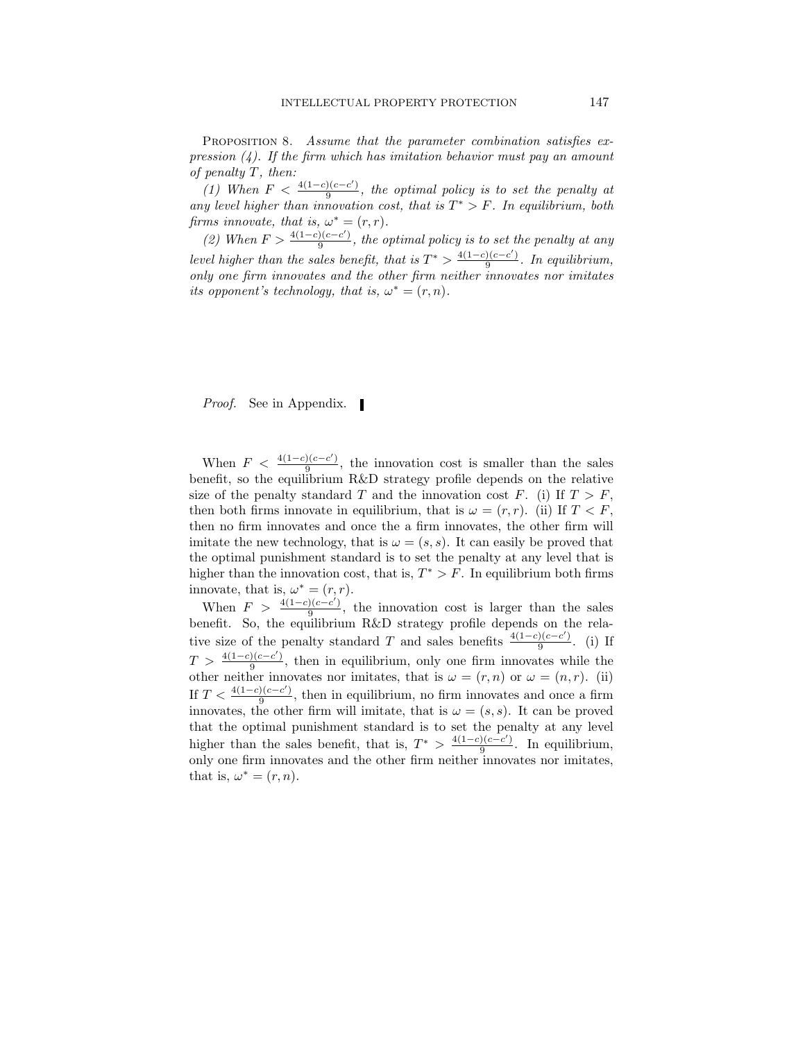PROPOSITION 8. Assume that the parameter combination satisfies expression  $(4)$ . If the firm which has imitation behavior must pay an amount of penalty T, then:

(1) When  $F < \frac{4(1-c)(c-c')}{9}$  $\frac{f(c-c)}{9}$ , the optimal policy is to set the penalty at any level higher than innovation cost, that is  $T^* > F$ . In equilibrium, both firms innovate, that is,  $\omega^* = (r, r)$ .

(2) When  $F > \frac{4(1-c)(c-c')}{a}$  $\frac{f(c-c)}{9}$ , the optimal policy is to set the penalty at any level higher than the sales benefit, that is  $T^* > \frac{4(1-c)(c-c')}{9}$  $\frac{1}{9}$ . In equilibrium, only one firm innovates and the other firm neither innovates nor imitates its opponent's technology, that is,  $\omega^* = (r, n)$ .

*Proof.* See in Appendix.

When  $F < \frac{4(1-c)(c-c')}{9}$  $\frac{f(c-c)}{9}$ , the innovation cost is smaller than the sales benefit, so the equilibrium R&D strategy profile depends on the relative size of the penalty standard T and the innovation cost F. (i) If  $T > F$ , then both firms innovate in equilibrium, that is  $\omega = (r, r)$ . (ii) If  $T \leq F$ . then no firm innovates and once the a firm innovates, the other firm will imitate the new technology, that is  $\omega = (s, s)$ . It can easily be proved that the optimal punishment standard is to set the penalty at any level that is higher than the innovation cost, that is,  $T^* > F$ . In equilibrium both firms innovate, that is,  $\omega^* = (r, r)$ .

When  $F > \frac{4(1-c)(c-c')}{9}$  $\frac{f(c-c)}{9}$ , the innovation cost is larger than the sales benefit. So, the equilibrium R&D strategy profile depends on the relative size of the penalty standard T and sales benefits  $\frac{4(1-c)(c-c')}{a}$  $rac{1}{9}$ . (i) If  $T > \frac{4(1-c)(c-c')}{9}$  $\frac{y(c-c)}{9}$ , then in equilibrium, only one firm innovates while the other neither innovates nor imitates, that is  $\omega = (r, n)$  or  $\omega = (n, r)$ . (ii) If  $T < \frac{4(1-c)(c-c')}{9}$  $\frac{1}{9}$ , then in equilibrium, no firm innovates and once a firm innovates, the other firm will imitate, that is  $\omega = (s, s)$ . It can be proved that the optimal punishment standard is to set the penalty at any level higher than the sales benefit, that is,  $T^* > \frac{4(1-c)(c-c')}{9}$  $rac{9}{9}$ . In equilibrium, only one firm innovates and the other firm neither innovates nor imitates, that is,  $\omega^* = (r, n)$ .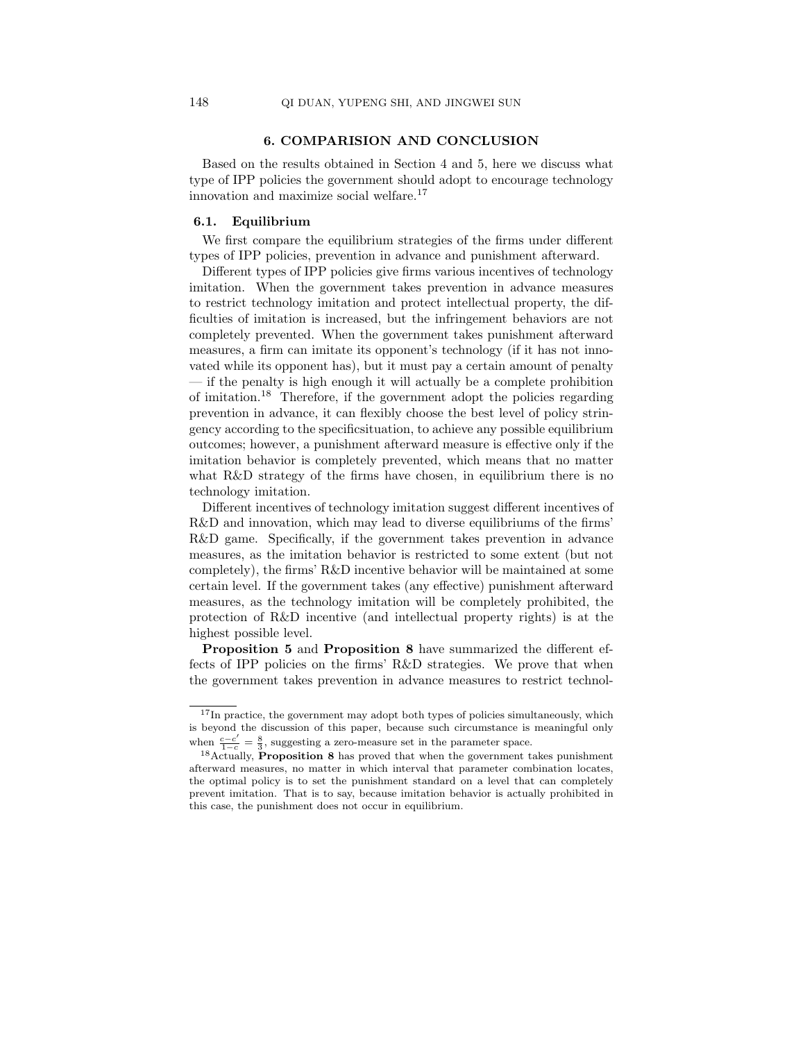# 6. COMPARISION AND CONCLUSION

Based on the results obtained in Section 4 and 5, here we discuss what type of IPP policies the government should adopt to encourage technology innovation and maximize social welfare.<sup>17</sup>

### 6.1. Equilibrium

We first compare the equilibrium strategies of the firms under different types of IPP policies, prevention in advance and punishment afterward.

Different types of IPP policies give firms various incentives of technology imitation. When the government takes prevention in advance measures to restrict technology imitation and protect intellectual property, the difficulties of imitation is increased, but the infringement behaviors are not completely prevented. When the government takes punishment afterward measures, a firm can imitate its opponent's technology (if it has not innovated while its opponent has), but it must pay a certain amount of penalty — if the penalty is high enough it will actually be a complete prohibition of imitation.<sup>18</sup> Therefore, if the government adopt the policies regarding prevention in advance, it can flexibly choose the best level of policy stringency according to the specificsituation, to achieve any possible equilibrium outcomes; however, a punishment afterward measure is effective only if the imitation behavior is completely prevented, which means that no matter what R&D strategy of the firms have chosen, in equilibrium there is no technology imitation.

Different incentives of technology imitation suggest different incentives of R&D and innovation, which may lead to diverse equilibriums of the firms' R&D game. Specifically, if the government takes prevention in advance measures, as the imitation behavior is restricted to some extent (but not completely), the firms' R&D incentive behavior will be maintained at some certain level. If the government takes (any effective) punishment afterward measures, as the technology imitation will be completely prohibited, the protection of R&D incentive (and intellectual property rights) is at the highest possible level.

Proposition 5 and Proposition 8 have summarized the different effects of IPP policies on the firms' R&D strategies. We prove that when the government takes prevention in advance measures to restrict technol-

 $17$ In practice, the government may adopt both types of policies simultaneously, which is beyond the discussion of this paper, because such circumstance is meaningful only when  $\frac{c-c'}{1-c} = \frac{8}{3}$ , suggesting a zero-measure set in the parameter space.

 $^{18}$ Actually, Proposition 8 has proved that when the government takes punishment afterward measures, no matter in which interval that parameter combination locates, the optimal policy is to set the punishment standard on a level that can completely prevent imitation. That is to say, because imitation behavior is actually prohibited in this case, the punishment does not occur in equilibrium.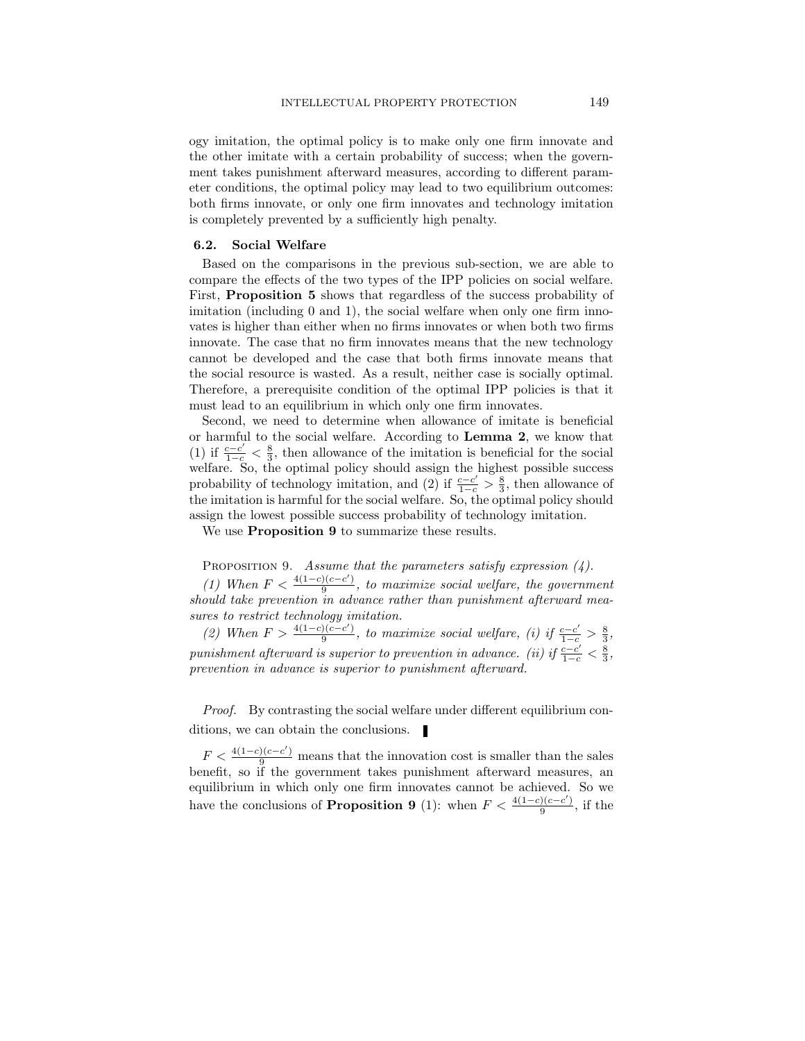ogy imitation, the optimal policy is to make only one firm innovate and the other imitate with a certain probability of success; when the government takes punishment afterward measures, according to different parameter conditions, the optimal policy may lead to two equilibrium outcomes: both firms innovate, or only one firm innovates and technology imitation is completely prevented by a sufficiently high penalty.

### 6.2. Social Welfare

Based on the comparisons in the previous sub-section, we are able to compare the effects of the two types of the IPP policies on social welfare. First, Proposition 5 shows that regardless of the success probability of imitation (including 0 and 1), the social welfare when only one firm innovates is higher than either when no firms innovates or when both two firms innovate. The case that no firm innovates means that the new technology cannot be developed and the case that both firms innovate means that the social resource is wasted. As a result, neither case is socially optimal. Therefore, a prerequisite condition of the optimal IPP policies is that it must lead to an equilibrium in which only one firm innovates.

Second, we need to determine when allowance of imitate is beneficial or harmful to the social welfare. According to Lemma 2, we know that (1) if  $\frac{c-c'}{1-c} < \frac{8}{3}$ , then allowance of the imitation is beneficial for the social welfare. So, the optimal policy should assign the highest possible success probability of technology imitation, and (2) if  $\frac{c-c'}{1-c} > \frac{8}{3}$ , then allowance of the imitation is harmful for the social welfare. So, the optimal policy should assign the lowest possible success probability of technology imitation.

We use **Proposition 9** to summarize these results.

# PROPOSITION 9. Assume that the parameters satisfy expression  $(4)$ .

(1) When  $F < \frac{4(1-c)(c-c')}{9}$  $\frac{f(c-c)}{9}$ , to maximize social welfare, the government should take prevention in advance rather than punishment afterward measures to restrict technology imitation.

(2) When  $F > \frac{4(1-c)(c-c')}{9}$  $\frac{f(c-c')}{9}$ , to maximize social welfare, (i) if  $\frac{c-c'}{1-c} > \frac{8}{3}$ , punishment afterward is superior to prevention in advance. (ii) if  $\frac{c-c'}{1-c} < \frac{8}{3}$ , prevention in advance is superior to punishment afterward.

Proof. By contrasting the social welfare under different equilibrium conditions, we can obtain the conclusions.

 $F < \frac{4(1-c)(c-c')}{9}$  means that the innovation cost is smaller than the sales benefit, so if the government takes punishment afterward measures, an equilibrium in which only one firm innovates cannot be achieved. So we have the conclusions of **Proposition 9** (1): when  $F < \frac{4(1-c)(c-c')}{a}$  $\frac{a}{9}$ , if the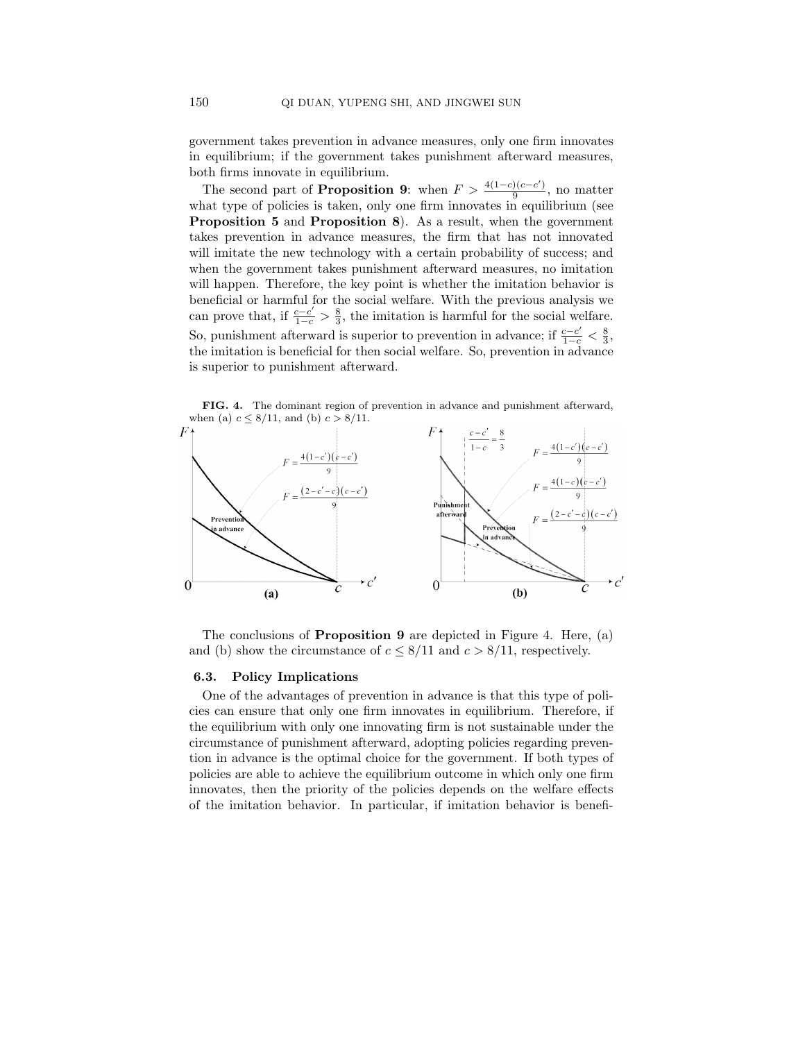government takes prevention in advance measures, only one firm innovates in equilibrium; if the government takes punishment afterward measures, both firms innovate in equilibrium.

The second part of **Proposition 9**: when  $F > \frac{4(1-c)(c-c')}{a}$  $\frac{1}{9}$ , no matter what type of policies is taken, only one firm innovates in equilibrium (see Proposition 5 and Proposition 8). As a result, when the government takes prevention in advance measures, the firm that has not innovated will imitate the new technology with a certain probability of success; and when the government takes punishment afterward measures, no imitation will happen. Therefore, the key point is whether the imitation behavior is beneficial or harmful for the social welfare. With the previous analysis we can prove that, if  $\frac{c-c'}{1-c} > \frac{8}{3}$ , the imitation is harmful for the social welfare. So, punishment afterward is superior to prevention in advance; if  $\frac{c-c'}{1-c} < \frac{8}{3}$ , the imitation is beneficial for then social welfare. So, prevention in advance is superior to punishment afterward.

FIG. 4. The dominant region of prevention in advance and punishment afterward, when (a)  $c \leq 8/11$ , and (b)  $c > 8/11$ .



The conclusions of Proposition 9 are depicted in Figure 4. Here, (a) and (b) show the circumstance of  $c \leq 8/11$  and  $c > 8/11$ , respectively.

# 6.3. Policy Implications

One of the advantages of prevention in advance is that this type of policies can ensure that only one firm innovates in equilibrium. Therefore, if the equilibrium with only one innovating firm is not sustainable under the circumstance of punishment afterward, adopting policies regarding prevention in advance is the optimal choice for the government. If both types of policies are able to achieve the equilibrium outcome in which only one firm innovates, then the priority of the policies depends on the welfare effects of the imitation behavior. In particular, if imitation behavior is benefi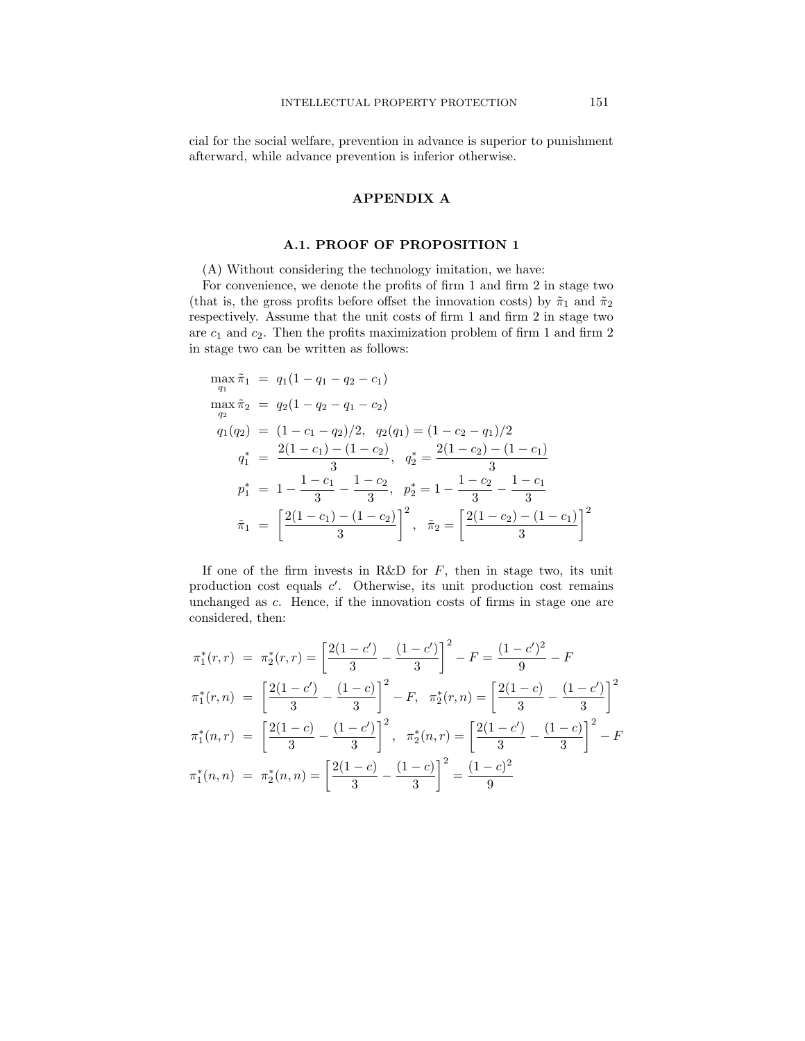cial for the social welfare, prevention in advance is superior to punishment afterward, while advance prevention is inferior otherwise.

# APPENDIX A

# A.1. PROOF OF PROPOSITION 1

(A) Without considering the technology imitation, we have:

For convenience, we denote the profits of firm 1 and firm 2 in stage two (that is, the gross profits before offset the innovation costs) by  $\tilde{\pi}_1$  and  $\tilde{\pi}_2$ respectively. Assume that the unit costs of firm 1 and firm 2 in stage two are  $c_1$  and  $c_2$ . Then the profits maximization problem of firm 1 and firm 2 in stage two can be written as follows:

$$
\max_{q_1} \tilde{\pi}_1 = q_1(1 - q_1 - q_2 - c_1)
$$
\n
$$
\max_{q_2} \tilde{\pi}_2 = q_2(1 - q_2 - q_1 - c_2)
$$
\n
$$
q_1(q_2) = (1 - c_1 - q_2)/2, \quad q_2(q_1) = (1 - c_2 - q_1)/2
$$
\n
$$
q_1^* = \frac{2(1 - c_1) - (1 - c_2)}{3}, \quad q_2^* = \frac{2(1 - c_2) - (1 - c_1)}{3}
$$
\n
$$
p_1^* = 1 - \frac{1 - c_1}{3} - \frac{1 - c_2}{3}, \quad p_2^* = 1 - \frac{1 - c_2}{3} - \frac{1 - c_1}{3}
$$
\n
$$
\tilde{\pi}_1 = \left[ \frac{2(1 - c_1) - (1 - c_2)}{3} \right]^2, \quad \tilde{\pi}_2 = \left[ \frac{2(1 - c_2) - (1 - c_1)}{3} \right]^2
$$

If one of the firm invests in R&D for  $F$ , then in stage two, its unit production cost equals c'. Otherwise, its unit production cost remains unchanged as c. Hence, if the innovation costs of firms in stage one are considered, then:

$$
\pi_1^*(r,r) = \pi_2^*(r,r) = \left[\frac{2(1-c')}{3} - \frac{(1-c')}{3}\right]^2 - F = \frac{(1-c')^2}{9} - F
$$
  

$$
\pi_1^*(r,n) = \left[\frac{2(1-c')}{3} - \frac{(1-c)}{3}\right]^2 - F, \quad \pi_2^*(r,n) = \left[\frac{2(1-c)}{3} - \frac{(1-c')}{3}\right]^2
$$
  

$$
\pi_1^*(n,r) = \left[\frac{2(1-c)}{3} - \frac{(1-c')}{3}\right]^2, \quad \pi_2^*(n,r) = \left[\frac{2(1-c')}{3} - \frac{(1-c)}{3}\right]^2 - F
$$
  

$$
\pi_1^*(n,n) = \pi_2^*(n,n) = \left[\frac{2(1-c)}{3} - \frac{(1-c)}{3}\right]^2 = \frac{(1-c)^2}{9}
$$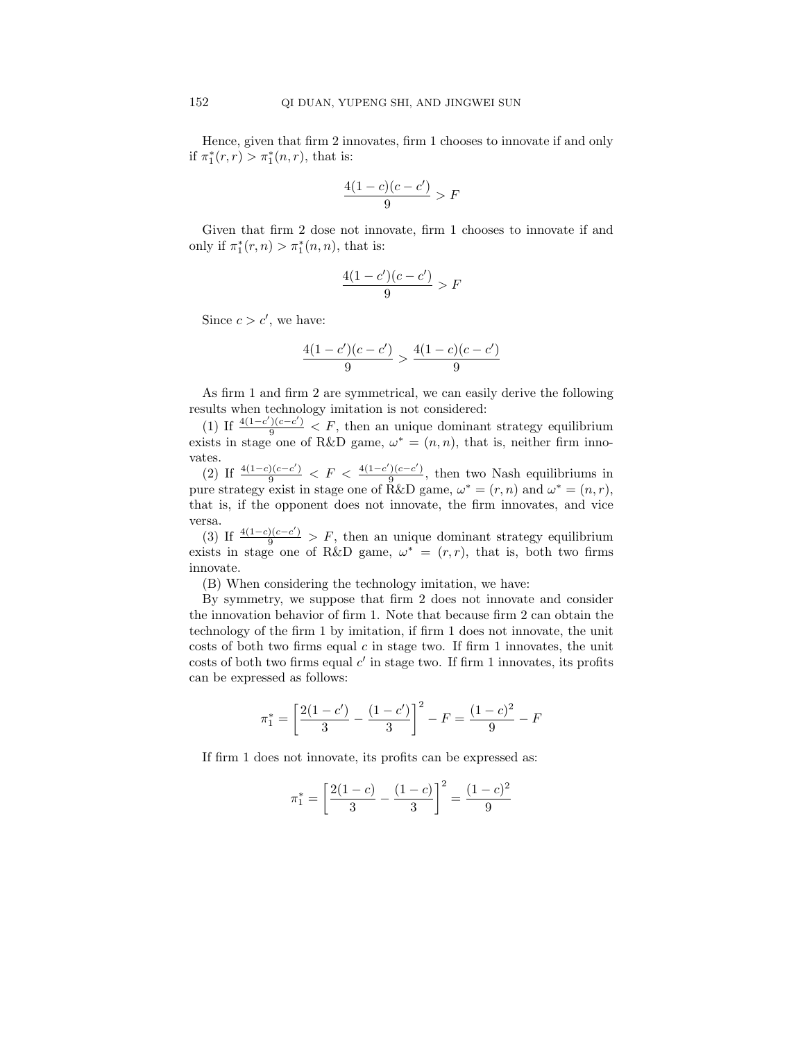Hence, given that firm 2 innovates, firm 1 chooses to innovate if and only if  $\pi_1^*(r,r) > \pi_1^*(n,r)$ , that is:

$$
\frac{4(1-c)(c-c')}{9} > F
$$

Given that firm 2 dose not innovate, firm 1 chooses to innovate if and only if  $\pi_1^*(r, n) > \pi_1^*(n, n)$ , that is:

$$
\frac{4(1-c')(c-c')}{9} > F
$$

Since  $c > c'$ , we have:

$$
\frac{4(1-c')(c-c')}{9} > \frac{4(1-c)(c-c')}{9}
$$

As firm 1 and firm 2 are symmetrical, we can easily derive the following results when technology imitation is not considered:

(1) If  $\frac{4(1-c')(c-c')}{9} < F$ , then an unique dominant strategy equilibrium exists in stage one of R&D game,  $\omega^* = (n, n)$ , that is, neither firm innovates.

(2) If  $\frac{4(1-c)(c-c')}{9} < F < \frac{4(1-c')(c-c')}{9}$  $\frac{f(c-c)}{9}$ , then two Nash equilibriums in pure strategy exist in stage one of R&D game,  $\omega^* = (r, n)$  and  $\omega^* = (n, r)$ , that is, if the opponent does not innovate, the firm innovates, and vice versa.

(3) If  $\frac{4(1-c)(c-c')}{9}$  > F, then an unique dominant strategy equilibrium exists in stage one of R&D game,  $\omega^* = (r, r)$ , that is, both two firms innovate.

(B) When considering the technology imitation, we have:

By symmetry, we suppose that firm 2 does not innovate and consider the innovation behavior of firm 1. Note that because firm 2 can obtain the technology of the firm 1 by imitation, if firm 1 does not innovate, the unit costs of both two firms equal  $c$  in stage two. If firm 1 innovates, the unit costs of both two firms equal  $c'$  in stage two. If firm 1 innovates, its profits can be expressed as follows:

$$
\pi_1^* = \left[\frac{2(1-c')}{3} - \frac{(1-c')}{3}\right]^2 - F = \frac{(1-c)^2}{9} - F
$$

If firm 1 does not innovate, its profits can be expressed as:

$$
\pi_1^* = \left[\frac{2(1-c)}{3} - \frac{(1-c)}{3}\right]^2 = \frac{(1-c)^2}{9}
$$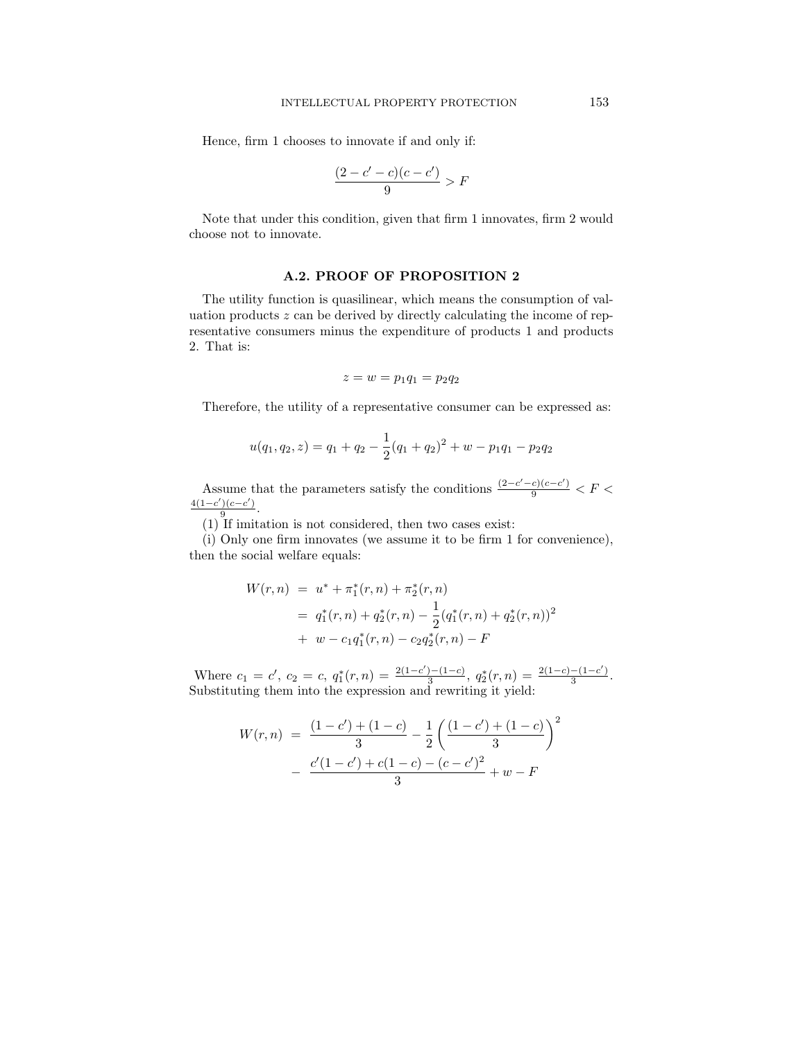Hence, firm 1 chooses to innovate if and only if:

$$
\frac{(2-c'-c)(c-c')}{9} > F
$$

Note that under this condition, given that firm 1 innovates, firm 2 would choose not to innovate.

# A.2. PROOF OF PROPOSITION 2

The utility function is quasilinear, which means the consumption of valuation products  $z$  can be derived by directly calculating the income of representative consumers minus the expenditure of products 1 and products 2. That is:

$$
z = w = p_1 q_1 = p_2 q_2
$$

Therefore, the utility of a representative consumer can be expressed as:

$$
u(q_1, q_2, z) = q_1 + q_2 - \frac{1}{2}(q_1 + q_2)^2 + w - p_1q_1 - p_2q_2
$$

Assume that the parameters satisfy the conditions  $\frac{(2-c'-c)(c-c')}{9} < F <$  $4(1-c')(c-c')$  $rac{1(c-c)}{9}$ .

(1) If imitation is not considered, then two cases exist:

(i) Only one firm innovates (we assume it to be firm 1 for convenience), then the social welfare equals:

$$
W(r,n) = u^* + \pi_1^*(r,n) + \pi_2^*(r,n)
$$
  
=  $q_1^*(r,n) + q_2^*(r,n) - \frac{1}{2}(q_1^*(r,n) + q_2^*(r,n))^2$   
+  $w - c_1q_1^*(r,n) - c_2q_2^*(r,n) - F$ 

Where  $c_1 = c'$ ,  $c_2 = c$ ,  $q_1^*(r, n) = \frac{2(1-c')-(1-c)}{3}$  $\frac{(-1-c)}{3}, q_2^*(r, n) = \frac{2(1-c)-(1-c')}{3}$  $\frac{-1-c}{3}$ . Substituting them into the expression and rewriting it yield:

$$
W(r,n) = \frac{(1-c') + (1-c)}{3} - \frac{1}{2} \left( \frac{(1-c') + (1-c)}{3} \right)^2 - \frac{c'(1-c') + c(1-c) - (c-c')^2}{3} + w - F
$$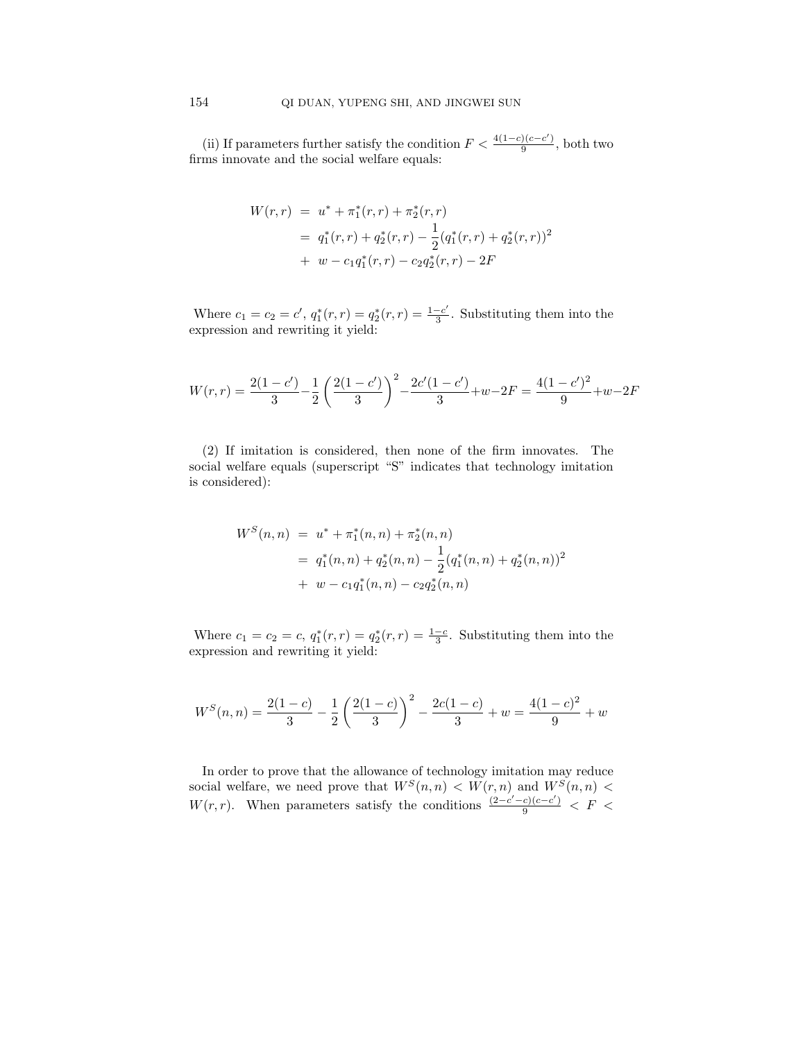(ii) If parameters further satisfy the condition  $F < \frac{4(1-c)(c-c')}{a}$  $\frac{9}{9}$ , both two firms innovate and the social welfare equals:

$$
W(r,r) = u^* + \pi_1^*(r,r) + \pi_2^*(r,r)
$$
  
=  $q_1^*(r,r) + q_2^*(r,r) - \frac{1}{2}(q_1^*(r,r) + q_2^*(r,r))^2$   
+  $w - c_1q_1^*(r,r) - c_2q_2^*(r,r) - 2F$ 

Where  $c_1 = c_2 = c'$ ,  $q_1^*(r, r) = q_2^*(r, r) = \frac{1 - c'}{3}$  $\frac{-c}{3}$ . Substituting them into the expression and rewriting it yield:

$$
W(r,r) = \frac{2(1-c')}{3} - \frac{1}{2} \left( \frac{2(1-c')}{3} \right)^2 - \frac{2c'(1-c')}{3} + w - 2F = \frac{4(1-c')^2}{9} + w - 2F
$$

(2) If imitation is considered, then none of the firm innovates. The social welfare equals (superscript "S" indicates that technology imitation is considered):

$$
W^{S}(n, n) = u^{*} + \pi_{1}^{*}(n, n) + \pi_{2}^{*}(n, n)
$$
  
=  $q_{1}^{*}(n, n) + q_{2}^{*}(n, n) - \frac{1}{2}(q_{1}^{*}(n, n) + q_{2}^{*}(n, n))^{2}$   
+  $w - c_{1}q_{1}^{*}(n, n) - c_{2}q_{2}^{*}(n, n)$ 

Where  $c_1 = c_2 = c, q_1^*(r, r) = q_2^*(r, r) = \frac{1-c}{3}$ . Substituting them into the expression and rewriting it yield:

$$
W^{S}(n,n) = \frac{2(1-c)}{3} - \frac{1}{2} \left( \frac{2(1-c)}{3} \right)^2 - \frac{2c(1-c)}{3} + w = \frac{4(1-c)^2}{9} + w
$$

In order to prove that the allowance of technology imitation may reduce social welfare, we need prove that  $W<sup>S</sup>(n, n) < W(r, n)$  and  $W<sup>S</sup>(n, n) <$ W(r, r). When parameters satisfy the conditions  $\frac{(2-c'-c)(c-c')}{9} < F <$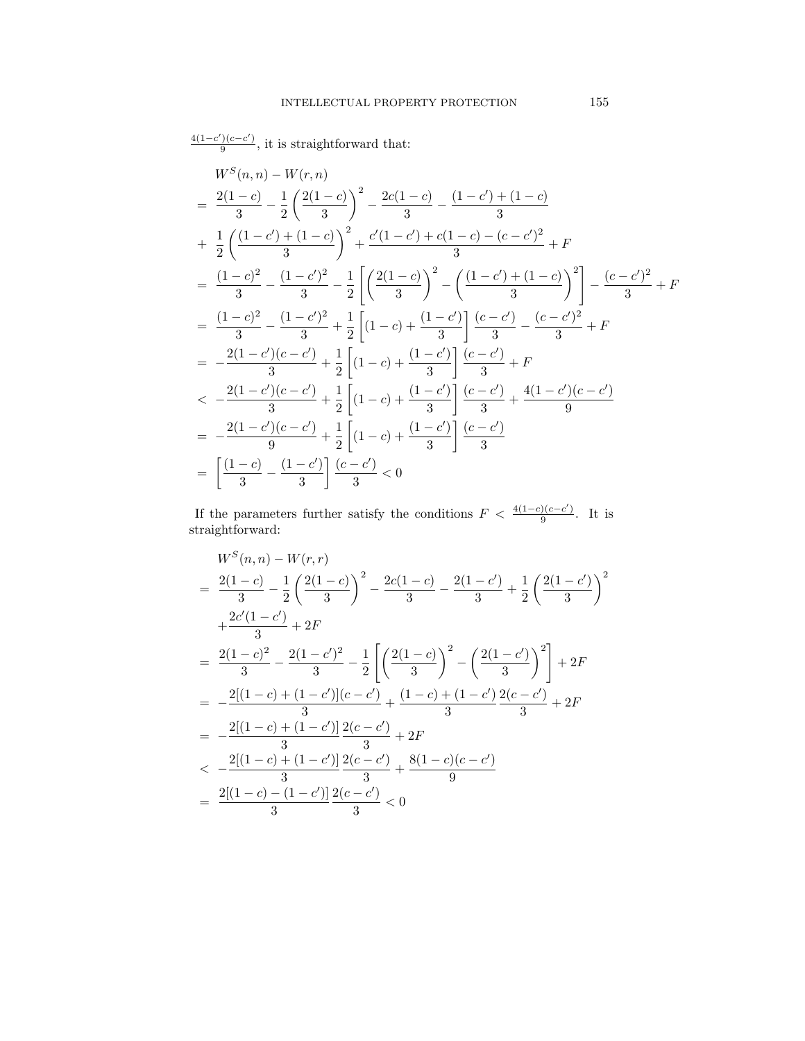$$
\frac{4(1-c')(c-c')}{9}, it is straightforward that:
$$
\n
$$
W^{S}(n, n) - W(r, n)
$$
\n
$$
= \frac{2(1-c)}{3} - \frac{1}{2} \left(\frac{2(1-c)}{3}\right)^2 - \frac{2c(1-c)}{3} - \frac{(1-c') + (1-c)}{3}
$$
\n
$$
+ \frac{1}{2} \left(\frac{(1-c') + (1-c)}{3}\right)^2 + \frac{c'(1-c') + c(1-c) - (c-c')^2}{3} + F
$$
\n
$$
= \frac{(1-c)^2}{3} - \frac{(1-c')^2}{3} - \frac{1}{2} \left[\left(\frac{2(1-c)}{3}\right)^2 - \left(\frac{(1-c') + (1-c)}{3}\right)^2\right] - \frac{(c-c')^2}{3} + F
$$
\n
$$
= \frac{(1-c)^2}{3} - \frac{(1-c')^2}{3} + \frac{1}{2} \left[(1-c) + \frac{(1-c')}{3}\right] \frac{(c-c')}{3} - \frac{(c-c')^2}{3} + F
$$
\n
$$
= -\frac{2(1-c')(c-c')}{3} + \frac{1}{2} \left[(1-c) + \frac{(1-c')}{3}\right] \frac{(c-c')}{3} + F
$$
\n
$$
< -\frac{2(1-c')(c-c')}{3} + \frac{1}{2} \left[(1-c) + \frac{(1-c')}{3}\right] \frac{(c-c')}{3} + \frac{4(1-c')(c-c')}{9}
$$
\n
$$
= -\frac{2(1-c')(c-c')}{9} + \frac{1}{2} \left[(1-c) + \frac{(1-c')}{3}\right] \frac{(c-c')}{3}
$$
\n
$$
= \left[\frac{(1-c)}{3} - \frac{(1-c')}{3}\right] \frac{(c-c')}{3} < 0
$$

If the parameters further satisfy the conditions  $F < \frac{4(1-c)(c-c')}{a}$  $rac{1}{9}$ . It is straightforward:

$$
W^{S}(n, n) - W(r, r)
$$
\n
$$
= \frac{2(1-c)}{3} - \frac{1}{2} \left(\frac{2(1-c)}{3}\right)^2 - \frac{2c(1-c)}{3} - \frac{2(1-c')}{3} + \frac{1}{2} \left(\frac{2(1-c')}{3}\right)^2
$$
\n
$$
+ \frac{2c'(1-c')}{3} + 2F
$$
\n
$$
= \frac{2(1-c)^2}{3} - \frac{2(1-c')^2}{3} - \frac{1}{2} \left[ \left(\frac{2(1-c)}{3}\right)^2 - \left(\frac{2(1-c')}{3}\right)^2 \right] + 2F
$$
\n
$$
= -\frac{2[(1-c)+(1-c')](c-c')}{3} + \frac{(1-c)+(1-c')}{3} \frac{2(c-c')}{3} + 2F
$$
\n
$$
= -\frac{2[(1-c)+(1-c')]}{3} \frac{2(c-c')}{3} + 2F
$$
\n
$$
< -\frac{2[(1-c)+(1-c')]}{3} \frac{2(c-c')}{3} + \frac{8(1-c)(c-c')}{9}
$$
\n
$$
= \frac{2[(1-c)-(1-c')]}{3} \frac{2(c-c')}{3} < 0
$$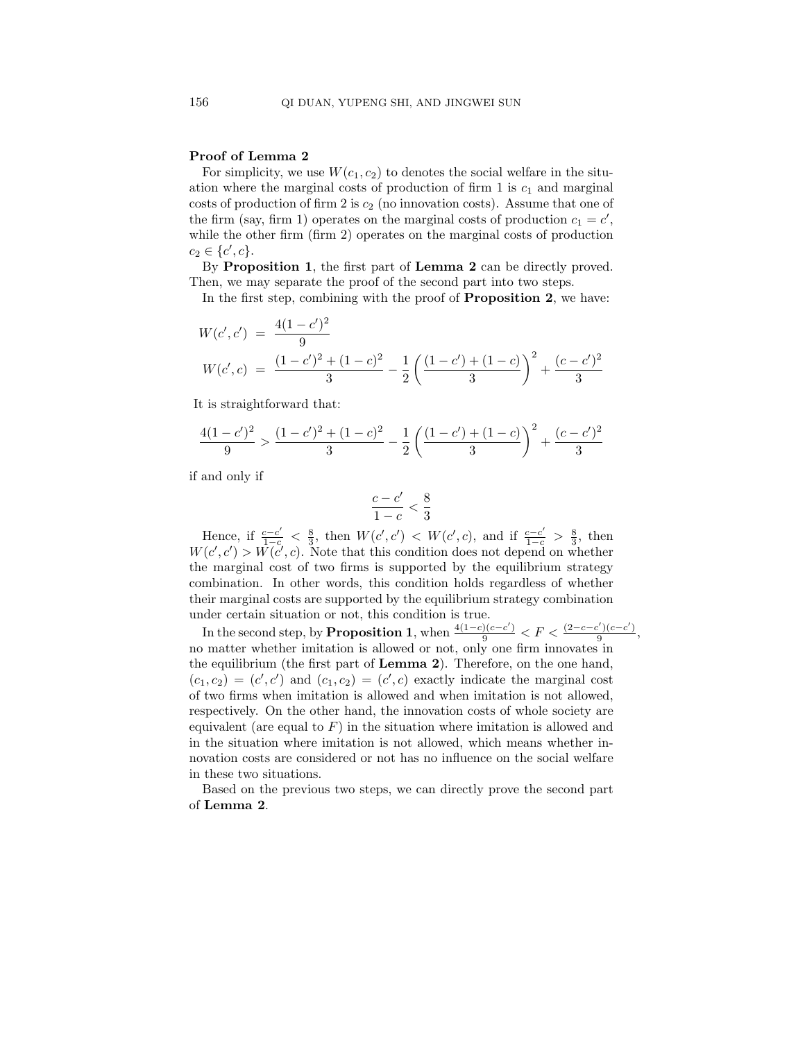### Proof of Lemma 2

For simplicity, we use  $W(c_1, c_2)$  to denotes the social welfare in the situation where the marginal costs of production of firm 1 is  $c_1$  and marginal costs of production of firm 2 is  $c_2$  (no innovation costs). Assume that one of the firm (say, firm 1) operates on the marginal costs of production  $c_1 = c'$ , while the other firm (firm 2) operates on the marginal costs of production  $c_2 \in \{c', c\}.$ 

By Proposition 1, the first part of Lemma 2 can be directly proved. Then, we may separate the proof of the second part into two steps.

In the first step, combining with the proof of **Proposition 2**, we have:

$$
W(c', c') = \frac{4(1-c')^2}{9}
$$
  
\n
$$
W(c', c) = \frac{(1-c')^2 + (1-c)^2}{3} - \frac{1}{2} \left( \frac{(1-c') + (1-c)}{3} \right)^2 + \frac{(c-c')^2}{3}
$$

It is straightforward that:

$$
\frac{4(1-c')^2}{9} > \frac{(1-c')^2 + (1-c)^2}{3} - \frac{1}{2} \left( \frac{(1-c') + (1-c)}{3} \right)^2 + \frac{(c-c')^2}{3}
$$

if and only if

$$
\frac{c-c'}{1-c} < \frac{8}{3}
$$

Hence, if  $\frac{c-c'}{1-c} < \frac{8}{3}$ , then  $W(c', c') < W(c', c)$ , and if  $\frac{c-c'}{1-c} > \frac{8}{3}$ , then  $W(c', c') > W(c', c)$ . Note that this condition does not depend on whether the marginal cost of two firms is supported by the equilibrium strategy combination. In other words, this condition holds regardless of whether their marginal costs are supported by the equilibrium strategy combination under certain situation or not, this condition is true.

In the second step, by **Proposition 1**, when  $\frac{4(1-c)(c-c')}{9} < F < \frac{(2-c-c')(c-c')}{9}$  $\frac{(c-c)}{9},$ no matter whether imitation is allowed or not, only one firm innovates in the equilibrium (the first part of Lemma 2). Therefore, on the one hand,  $(c_1, c_2) = (c', c')$  and  $(c_1, c_2) = (c', c)$  exactly indicate the marginal cost of two firms when imitation is allowed and when imitation is not allowed, respectively. On the other hand, the innovation costs of whole society are equivalent (are equal to  $F$ ) in the situation where imitation is allowed and in the situation where imitation is not allowed, which means whether innovation costs are considered or not has no influence on the social welfare in these two situations.

Based on the previous two steps, we can directly prove the second part of Lemma 2.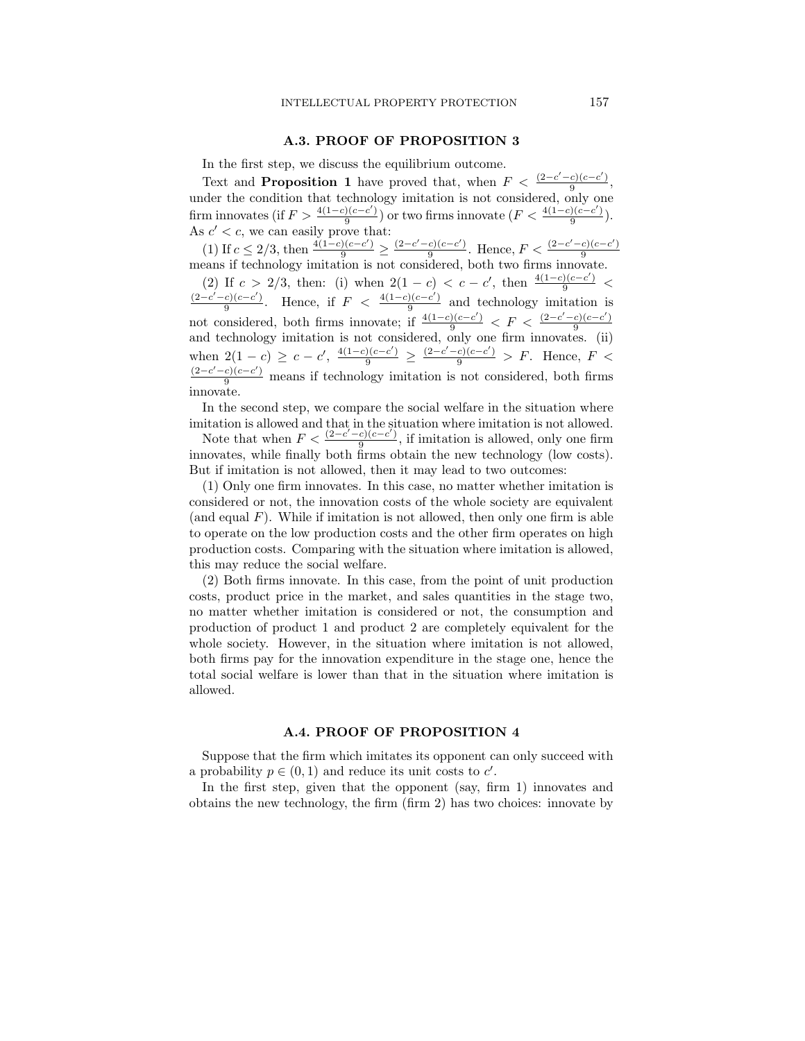### A.3. PROOF OF PROPOSITION 3

In the first step, we discuss the equilibrium outcome.

Text and **Proposition 1** have proved that, when  $F < \frac{(2-c'-c)(c-c')}{2}$  $\frac{c_1(c-c_1)}{9},$ under the condition that technology imitation is not considered, only one firm innovates (if  $F > \frac{4(1-c)(c-c')}{9}$  $\frac{9(c-c')}{9}$  or two firms innovate  $(F<\frac{4(1-c)(c-c')}{9})$  $\frac{y(c-c)}{9}$ ). As  $c' < c$ , we can easily prove that:

(1) If  $c \leq 2/3$ , then  $\frac{4(1-c)(c-c')}{9} \geq \frac{(2-c'-c)(c-c')}{9}$  $\frac{c)(c-c'}{9}$ . Hence,  $F < \frac{(2-c'-c)(c-c')}{9}$  $\frac{9}{9}$  =  $\frac{9}{9}$ . Hence,  $\frac{9}{10}$  =  $\frac{9}{9}$ . Hence,  $\frac{9}{10}$  =  $\frac{9}{9}$  means if technology imitation is not considered, both two firms innovate.

(2) If  $c > 2/3$ , then: (i) when  $2(1 - c) < c - c'$ , then  $\frac{4(1 - c)(c - c')}{9}$  $(2-c' - c)(c - c')$  $\frac{c)(c-c')}{9}$ . Hence, if  $F < \frac{4(1-c)(c-c')}{9}$  $\frac{9(e-c)}{9}$  and technology imitation is not considered, both firms innovate; if  $\frac{4(1-c)(c-c')}{9} < F < \frac{(2-c'-c)(c-c')}{9}$ and technology imitation is not considered, only one firm innovates. (ii) when  $2(1-c) \ge c-c'$ ,  $\frac{4(1-c)(c-c')}{9} \ge \frac{(2-c'-c)(c-c')}{9} > F$ . Hence,  $F <$  $\frac{(2-c'-c)(c-c')}{9}$  means if technology imitation is not considered, both firms innovate.

In the second step, we compare the social welfare in the situation where imitation is allowed and that in the situation where imitation is not allowed.

Note that when  $F < \frac{(2-c'-c)(c-c')}{9}$  $\frac{e^{i(e-e)}}{9}$ , if imitation is allowed, only one firm innovates, while finally both firms obtain the new technology (low costs). But if imitation is not allowed, then it may lead to two outcomes:

(1) Only one firm innovates. In this case, no matter whether imitation is considered or not, the innovation costs of the whole society are equivalent (and equal  $F$ ). While if imitation is not allowed, then only one firm is able to operate on the low production costs and the other firm operates on high production costs. Comparing with the situation where imitation is allowed, this may reduce the social welfare.

(2) Both firms innovate. In this case, from the point of unit production costs, product price in the market, and sales quantities in the stage two, no matter whether imitation is considered or not, the consumption and production of product 1 and product 2 are completely equivalent for the whole society. However, in the situation where imitation is not allowed, both firms pay for the innovation expenditure in the stage one, hence the total social welfare is lower than that in the situation where imitation is allowed.

#### A.4. PROOF OF PROPOSITION 4

Suppose that the firm which imitates its opponent can only succeed with a probability  $p \in (0, 1)$  and reduce its unit costs to  $c'$ .

In the first step, given that the opponent (say, firm 1) innovates and obtains the new technology, the firm (firm 2) has two choices: innovate by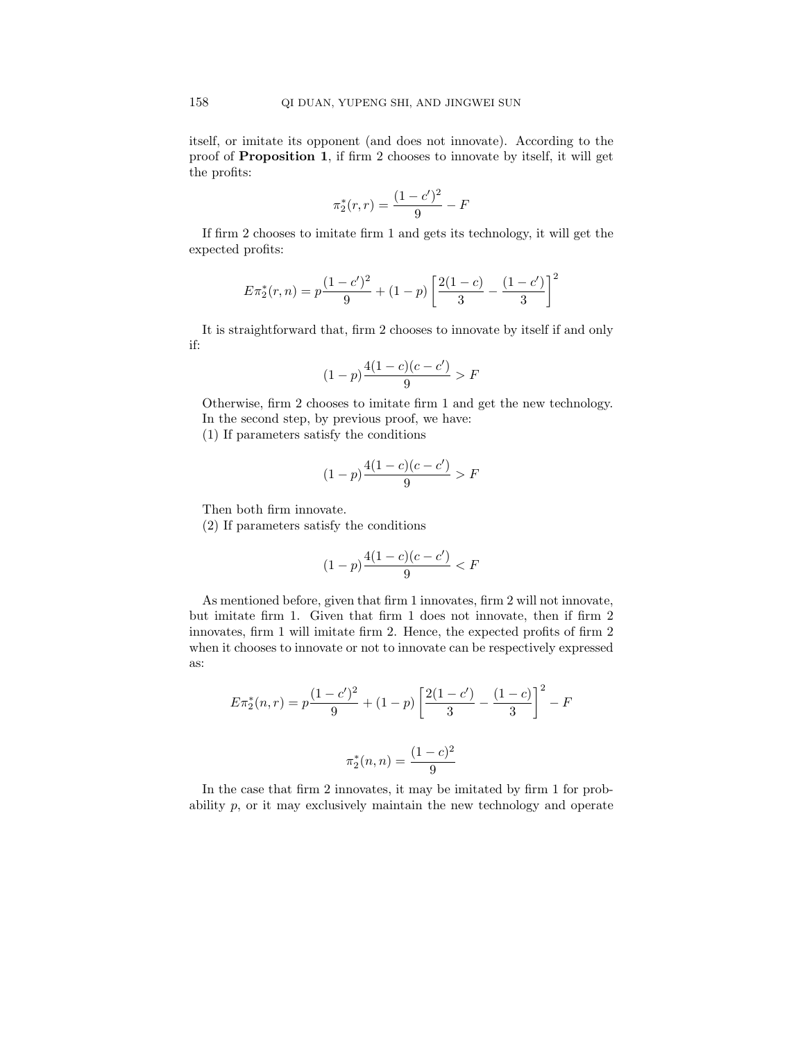itself, or imitate its opponent (and does not innovate). According to the proof of Proposition 1, if firm 2 chooses to innovate by itself, it will get the profits:

$$
\pi_2^*(r,r) = \frac{(1-c')^2}{9} - F
$$

If firm 2 chooses to imitate firm 1 and gets its technology, it will get the expected profits:

$$
E\pi_2^*(r,n) = p\frac{(1-c')^2}{9} + (1-p)\left[\frac{2(1-c)}{3} - \frac{(1-c')}{3}\right]^2
$$

It is straightforward that, firm 2 chooses to innovate by itself if and only if:

$$
(1-p)\frac{4(1-c)(c-c')}{9} > F
$$

Otherwise, firm 2 chooses to imitate firm 1 and get the new technology. In the second step, by previous proof, we have:

(1) If parameters satisfy the conditions

$$
(1-p)\frac{4(1-c)(c-c')}{9} > F
$$

Then both firm innovate.

(2) If parameters satisfy the conditions

$$
(1-p)\frac{4(1-c)(c-c')}{9} < F
$$

As mentioned before, given that firm 1 innovates, firm 2 will not innovate, but imitate firm 1. Given that firm 1 does not innovate, then if firm 2 innovates, firm 1 will imitate firm 2. Hence, the expected profits of firm 2 when it chooses to innovate or not to innovate can be respectively expressed as:

$$
E\pi_2^*(n,r) = p\frac{(1-c')^2}{9} + (1-p)\left[\frac{2(1-c')}{3} - \frac{(1-c)}{3}\right]^2 - F
$$

$$
\pi_2^*(n,n) = \frac{(1-c)^2}{9}
$$

In the case that firm 2 innovates, it may be imitated by firm 1 for probability p, or it may exclusively maintain the new technology and operate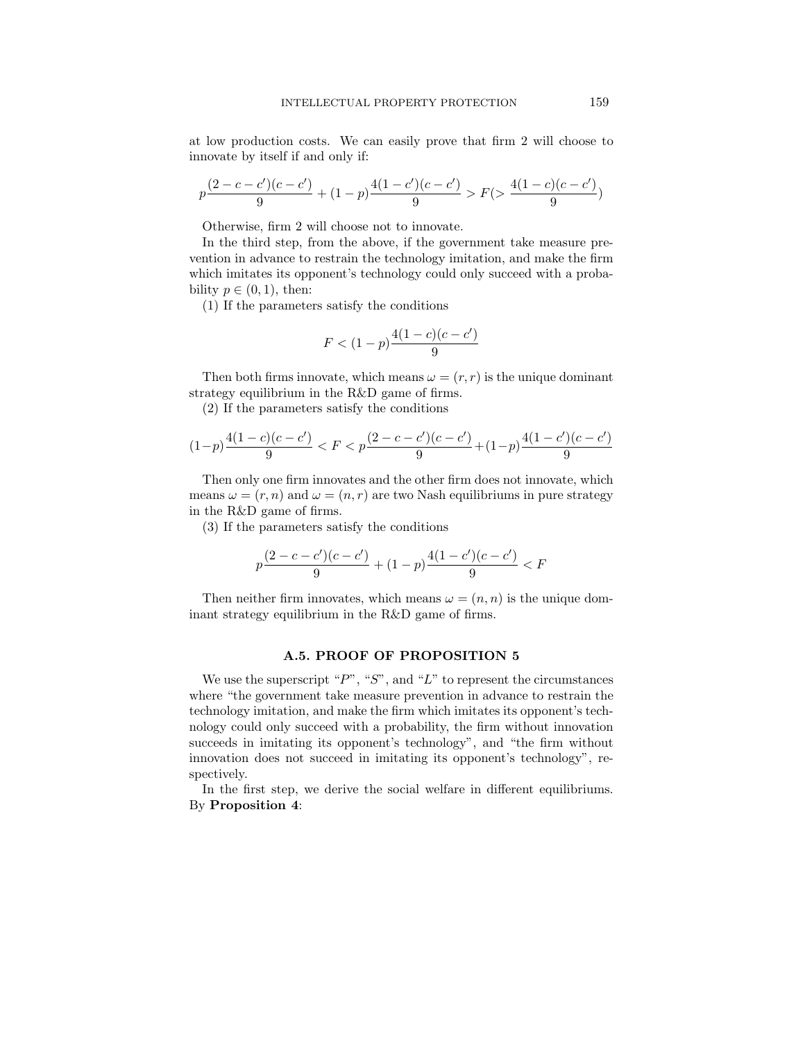at low production costs. We can easily prove that firm 2 will choose to innovate by itself if and only if:

$$
p\frac{(2-c-c')(c-c')}{9}+(1-p)\frac{4(1-c')(c-c')}{9}>F(>\frac{4(1-c)(c-c')}{9})
$$

Otherwise, firm 2 will choose not to innovate.

In the third step, from the above, if the government take measure prevention in advance to restrain the technology imitation, and make the firm which imitates its opponent's technology could only succeed with a probability  $p \in (0, 1)$ , then:

(1) If the parameters satisfy the conditions

$$
F < (1 - p) \frac{4(1 - c)(c - c')}{9}
$$

Then both firms innovate, which means  $\omega = (r, r)$  is the unique dominant strategy equilibrium in the R&D game of firms.

(2) If the parameters satisfy the conditions

$$
(1-p)\frac{4(1-c)(c-c')}{9} < F < p\frac{(2-c-c')(c-c')}{9} + (1-p)\frac{4(1-c')(c-c')}{9}
$$

Then only one firm innovates and the other firm does not innovate, which means  $\omega = (r, n)$  and  $\omega = (n, r)$  are two Nash equilibriums in pure strategy in the R&D game of firms.

(3) If the parameters satisfy the conditions

$$
p\frac{(2-c-c')(c-c')}{9} + (1-p)\frac{4(1-c')(c-c')}{9} < F
$$

Then neither firm innovates, which means  $\omega = (n, n)$  is the unique dominant strategy equilibrium in the R&D game of firms.

# A.5. PROOF OF PROPOSITION 5

We use the superscript " $P$ ", " $S$ ", and " $L$ " to represent the circumstances where "the government take measure prevention in advance to restrain the technology imitation, and make the firm which imitates its opponent's technology could only succeed with a probability, the firm without innovation succeeds in imitating its opponent's technology", and "the firm without innovation does not succeed in imitating its opponent's technology", respectively.

In the first step, we derive the social welfare in different equilibriums. By Proposition 4: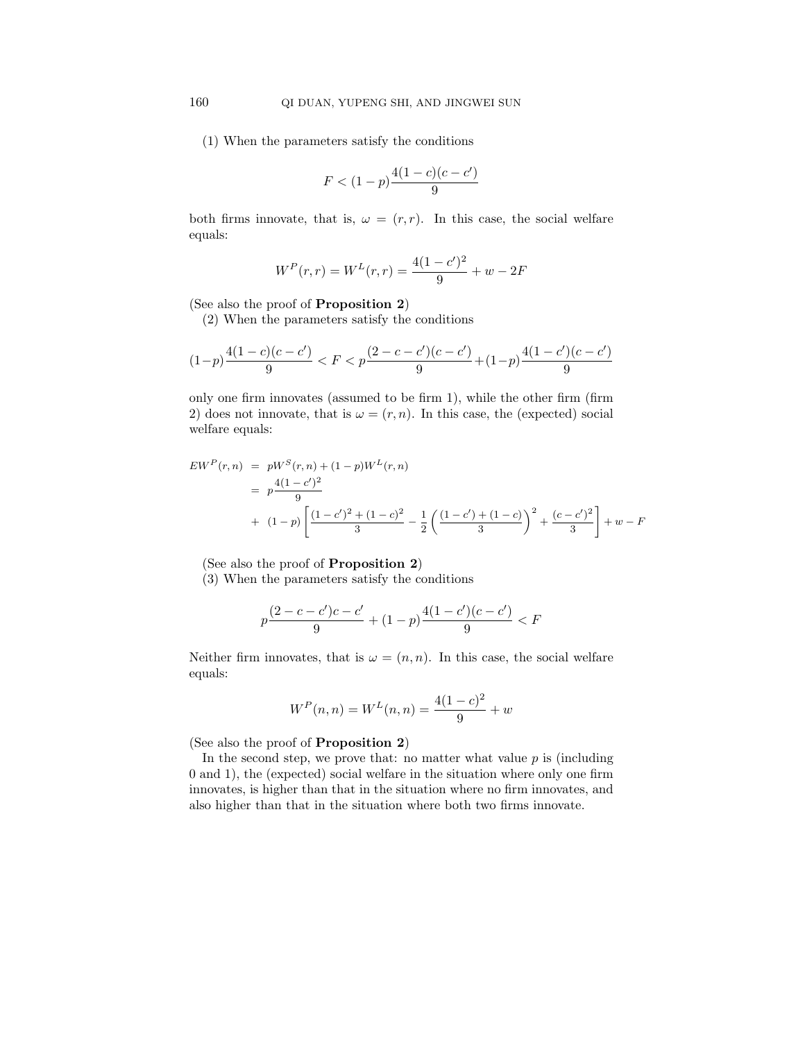(1) When the parameters satisfy the conditions

$$
F < (1-p)\frac{4(1-c)(c-c')}{9}
$$

both firms innovate, that is,  $\omega = (r, r)$ . In this case, the social welfare equals:

$$
W^{P}(r,r) = W^{L}(r,r) = \frac{4(1-c')^{2}}{9} + w - 2F
$$

(See also the proof of Proposition 2)

(2) When the parameters satisfy the conditions

$$
(1-p)\frac{4(1-c)(c-c')}{9} < F < p\frac{(2-c-c')(c-c')}{9} + (1-p)\frac{4(1-c')(c-c')}{9}
$$

only one firm innovates (assumed to be firm 1), while the other firm (firm 2) does not innovate, that is  $\omega = (r, n)$ . In this case, the (expected) social welfare equals:

$$
EWP(r, n) = pWS(r, n) + (1 - p)WL(r, n)
$$
  
=  $p\frac{4(1 - c')^{2}}{9}$   
+  $(1 - p)\left[\frac{(1 - c')^{2} + (1 - c)^{2}}{3} - \frac{1}{2}\left(\frac{(1 - c') + (1 - c)}{3}\right)^{2} + \frac{(c - c')^{2}}{3}\right] + w - F$ 

(See also the proof of Proposition 2)

(3) When the parameters satisfy the conditions

$$
p\frac{(2-c-c')c-c'}{9} + (1-p)\frac{4(1-c')(c-c')}{9} < F
$$

Neither firm innovates, that is  $\omega = (n, n)$ . In this case, the social welfare equals:

$$
W^{P}(n, n) = W^{L}(n, n) = \frac{4(1 - c)^{2}}{9} + w
$$

(See also the proof of Proposition 2)

In the second step, we prove that: no matter what value  $p$  is (including 0 and 1), the (expected) social welfare in the situation where only one firm innovates, is higher than that in the situation where no firm innovates, and also higher than that in the situation where both two firms innovate.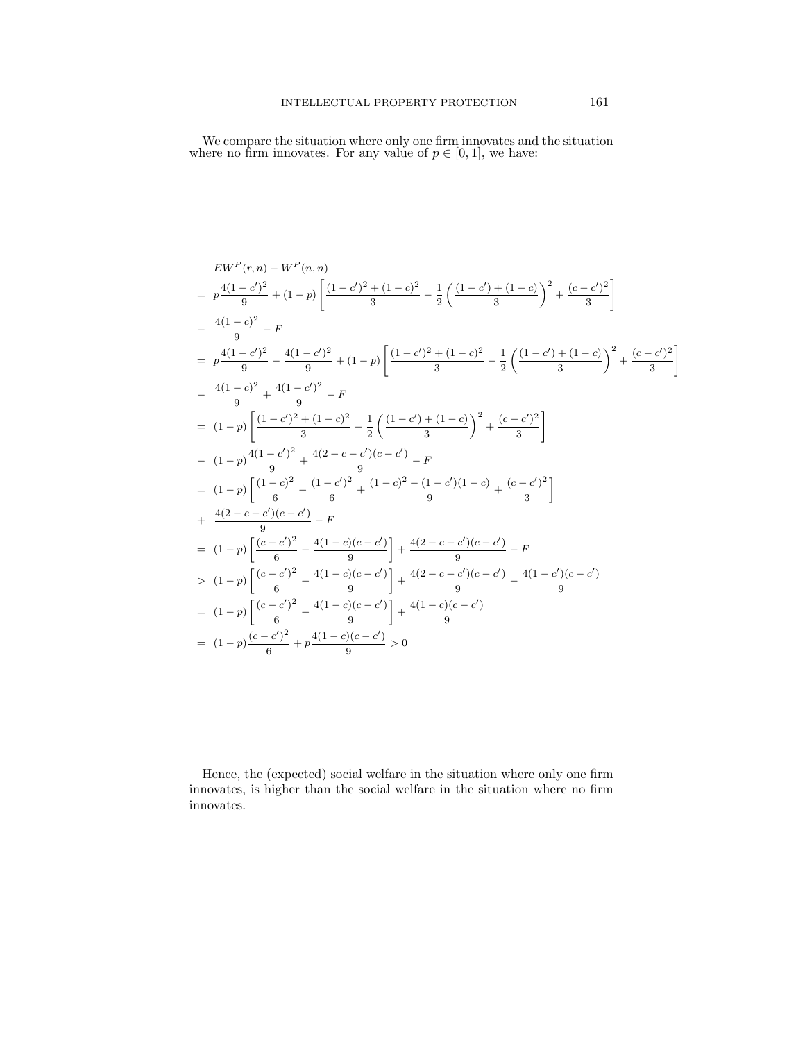We compare the situation where only one firm innovates and the situation where no firm innovates. For any value of  $p \in [0,1]$ , we have:

$$
EW^{P}(r, n) - W^{P}(n, n)
$$
\n
$$
= p \frac{4(1-c)^{2}}{9} + (1-p) \left[ \frac{(1-c)^{2} + (1-c)^{2}}{3} - \frac{1}{2} \left( \frac{(1-c') + (1-c)}{3} \right)^{2} + \frac{(c-c')^{2}}{3} \right]
$$
\n
$$
= \frac{4(1-c)^{2}}{9} - F
$$
\n
$$
= p \frac{4(1-c)^{2}}{9} - \frac{4(1-c')^{2}}{9} + (1-p) \left[ \frac{(1-c')^{2} + (1-c)^{2}}{3} - \frac{1}{2} \left( \frac{(1-c') + (1-c)}{3} \right)^{2} + \frac{(c-c')^{2}}{3} \right]
$$
\n
$$
= \frac{4(1-c)^{2}}{9} + \frac{4(1-c')^{2}}{9} - F
$$
\n
$$
= (1-p) \left[ \frac{(1-c')^{2} + (1-c)^{2}}{3} - \frac{1}{2} \left( \frac{(1-c') + (1-c)}{3} \right)^{2} + \frac{(c-c')^{2}}{3} \right]
$$
\n
$$
= (1-p) \left[ \frac{(1-c')^{2}}{9} + \frac{4(2-c-c')(c-c')}{9} - F \right]
$$
\n
$$
= (1-p) \left[ \frac{(1-c)^{2}}{6} - \frac{(1-c')^{2}}{6} + \frac{(1-c)^{2} - (1-c')(1-c)}{9} + \frac{(c-c')^{2}}{3} \right]
$$
\n
$$
+ \frac{4(2-c-c')(c-c')}{9} - F
$$
\n
$$
= (1-p) \left[ \frac{(c-c')^{2}}{6} - \frac{4(1-c)(c-c')}{9} \right] + \frac{4(2-c-c')(c-c')}{9} - F
$$
\n
$$
> (1-p) \left[ \frac{(c-c')^{2}}{6} - \frac{4(1-c)(c-c')}{9} \right] + \frac{4(2-c-c')(c-c')}{9} - \frac{4(1-c')(c-c')}{9}
$$
\n
$$
= (1-p) \left[ \frac{(c-c')^{2}}{6} + p \frac{4(1-c)(c-c')}{9} \right] \times \frac{4(1-c)(c-c')}{9}
$$
\n

Hence, the (expected) social welfare in the situation where only one firm innovates, is higher than the social welfare in the situation where no firm innovates.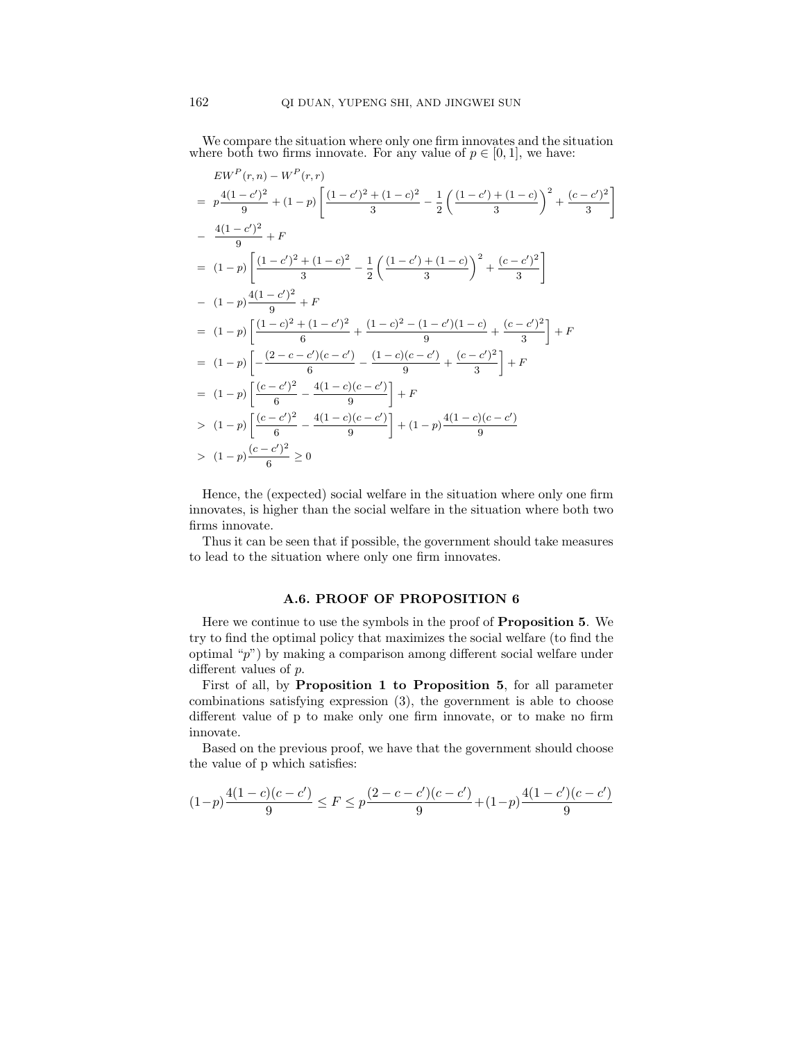We compare the situation where only one firm innovates and the situation where both two firms innovate. For any value of  $p \in [0, 1]$ , we have:

$$
EW^{P}(r,n) - W^{P}(r,r)
$$
\n
$$
= p \frac{4(1-c')^{2}}{9} + (1-p) \left[ \frac{(1-c')^{2} + (1-c)^{2}}{3} - \frac{1}{2} \left( \frac{(1-c') + (1-c)}{3} \right)^{2} + \frac{(c-c')^{2}}{3} \right]
$$
\n
$$
- \frac{4(1-c')^{2}}{9} + F
$$
\n
$$
= (1-p) \left[ \frac{(1-c')^{2} + (1-c)^{2}}{3} - \frac{1}{2} \left( \frac{(1-c') + (1-c)}{3} \right)^{2} + \frac{(c-c')^{2}}{3} \right]
$$
\n
$$
- (1-p) \frac{4(1-c')^{2}}{9} + F
$$
\n
$$
= (1-p) \left[ \frac{(1-c)^{2} + (1-c')^{2}}{6} + \frac{(1-c)^{2} - (1-c')(1-c)}{9} + \frac{(c-c')^{2}}{3} \right] + F
$$
\n
$$
= (1-p) \left[ -\frac{(2-c-c')(c-c')}{6} - \frac{(1-c)(c-c')}{9} + \frac{(c-c')^{2}}{3} \right] + F
$$
\n
$$
= (1-p) \left[ \frac{(c-c')^{2}}{6} - \frac{4(1-c)(c-c')}{9} \right] + F
$$
\n
$$
> (1-p) \left[ \frac{(c-c')^{2}}{6} - \frac{4(1-c)(c-c')}{9} \right] + (1-p) \frac{4(1-c)(c-c')}{9}
$$
\n
$$
> (1-p) \frac{(c-c')^{2}}{6} \ge 0
$$

Hence, the (expected) social welfare in the situation where only one firm innovates, is higher than the social welfare in the situation where both two firms innovate.

Thus it can be seen that if possible, the government should take measures to lead to the situation where only one firm innovates.

# A.6. PROOF OF PROPOSITION 6

Here we continue to use the symbols in the proof of Proposition 5. We try to find the optimal policy that maximizes the social welfare (to find the optimal "p") by making a comparison among different social welfare under different values of p.

First of all, by Proposition 1 to Proposition 5, for all parameter combinations satisfying expression (3), the government is able to choose different value of p to make only one firm innovate, or to make no firm innovate.

Based on the previous proof, we have that the government should choose the value of p which satisfies:

$$
(1-p)\frac{4(1-c)(c-c')}{9}\leq F\leq p\frac{(2-c-c')(c-c')}{9}+(1-p)\frac{4(1-c')(c-c')}{9}
$$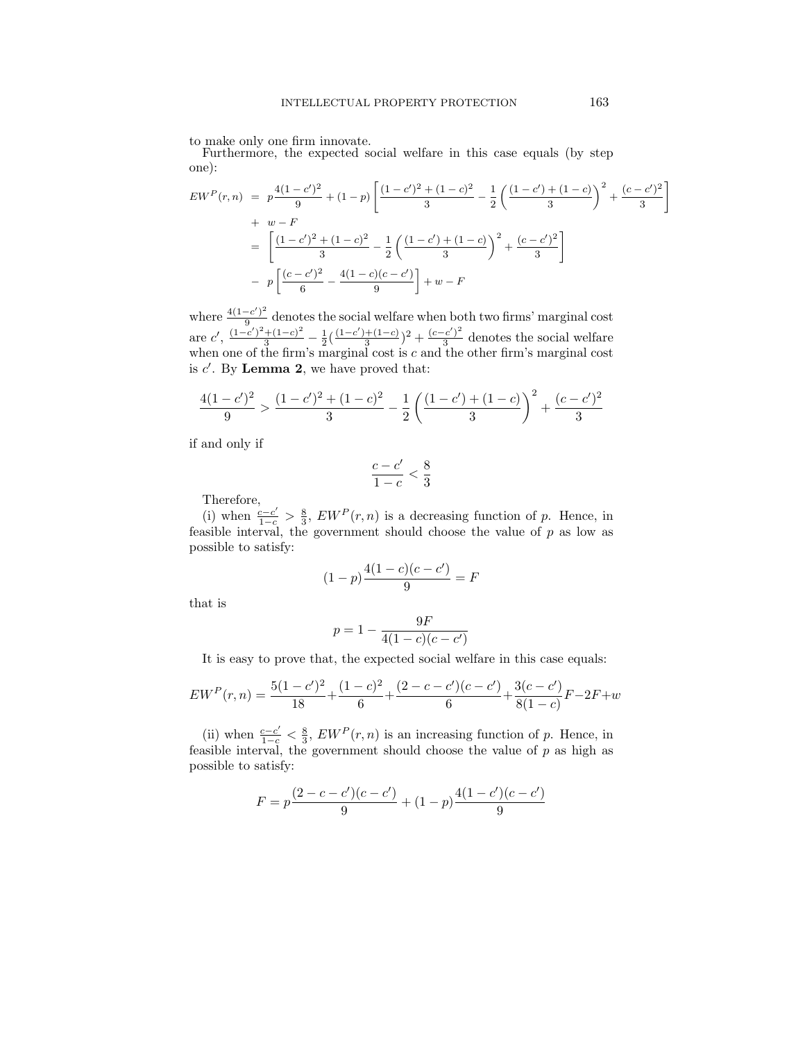to make only one firm innovate.

Furthermore, the expected social welfare in this case equals (by step one):

$$
EW^{P}(r,n) = p\frac{4(1-c')^{2}}{9} + (1-p)\left[\frac{(1-c')^{2} + (1-c)^{2}}{3} - \frac{1}{2}\left(\frac{(1-c') + (1-c)}{3}\right)^{2} + \frac{(c-c')^{2}}{3}\right] + w - F
$$
  
= 
$$
\left[\frac{(1-c')^{2} + (1-c)^{2}}{3} - \frac{1}{2}\left(\frac{(1-c') + (1-c)}{3}\right)^{2} + \frac{(c-c')^{2}}{3}\right] - p\left[\frac{(c-c')^{2}}{6} - \frac{4(1-c)(c-c')}{9}\right] + w - F
$$

where  $\frac{4(1-c')^2}{9}$  $\frac{(-c)}{9}$  denotes the social welfare when both two firms' marginal cost are  $c'$ ,  $\frac{(1-c')^2 + (1-c)^2}{3} - \frac{1}{2}(\frac{(1-c')+(1-c)}{3})$  $\frac{+(1-c)}{3}$ <sup>2</sup> +  $\frac{(c-c')^2}{3}$  $\frac{c}{3}$  denotes the social welfare when one of the firm's marginal cost is  $c$  and the other firm's marginal cost is  $c'$ . By **Lemma 2**, we have proved that:

$$
\frac{4(1-c')^2}{9} > \frac{(1-c')^2 + (1-c)^2}{3} - \frac{1}{2} \left( \frac{(1-c') + (1-c)}{3} \right)^2 + \frac{(c-c')^2}{3}
$$

if and only if

$$
\frac{c-c'}{1-c} < \frac{8}{3}
$$

Therefore,

(i) when  $\frac{c-c'}{1-c} > \frac{8}{3}$ ,  $EW^P(r, n)$  is a decreasing function of p. Hence, in feasible interval, the government should choose the value of  $p$  as low as possible to satisfy:

$$
(1-p)\frac{4(1-c)(c-c')}{9} = F
$$

that is

$$
p = 1 - \frac{9F}{4(1-c)(c-c')}
$$

It is easy to prove that, the expected social welfare in this case equals:

$$
EW^P(r,n) = \frac{5(1-c')^2}{18} + \frac{(1-c)^2}{6} + \frac{(2-c-c')(c-c')}{6} + \frac{3(c-c')}{8(1-c)}F - 2F + w
$$

(ii) when  $\frac{c-c'}{1-c} < \frac{8}{3}$ ,  $EW^P(r, n)$  is an increasing function of p. Hence, in feasible interval, the government should choose the value of  $p$  as high as possible to satisfy:

$$
F = p \frac{(2 - c - c')(c - c')}{9} + (1 - p) \frac{4(1 - c')(c - c')}{9}
$$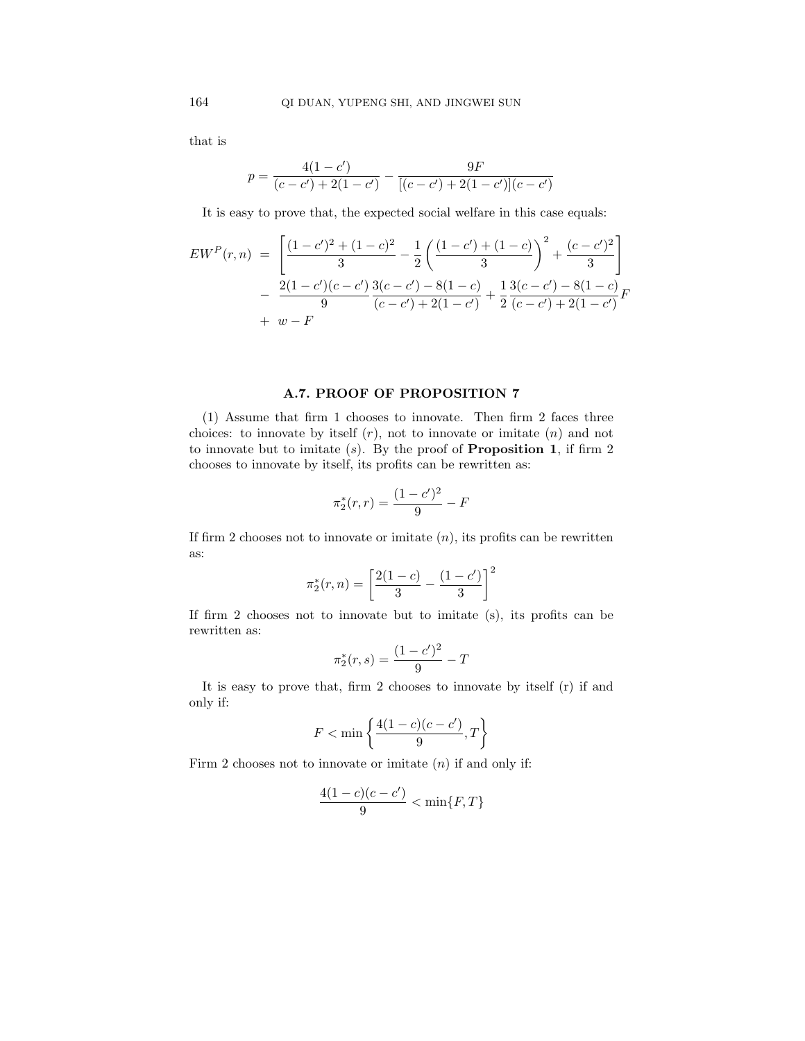that is

$$
p = \frac{4(1 - c')}{(c - c') + 2(1 - c')} - \frac{9F}{[(c - c') + 2(1 - c')] (c - c')}
$$

It is easy to prove that, the expected social welfare in this case equals:

$$
EW^{P}(r,n) = \left[ \frac{(1-c')^{2} + (1-c)^{2}}{3} - \frac{1}{2} \left( \frac{(1-c') + (1-c)}{3} \right)^{2} + \frac{(c-c')^{2}}{3} \right] - \frac{2(1-c')(c-c')}{9} \frac{3(c-c') - 8(1-c)}{(c-c') + 2(1-c')} + \frac{1}{2} \frac{3(c-c') - 8(1-c)}{(c-c') + 2(1-c')} F + w - F
$$

# A.7. PROOF OF PROPOSITION 7

(1) Assume that firm 1 chooses to innovate. Then firm 2 faces three choices: to innovate by itself  $(r)$ , not to innovate or imitate  $(n)$  and not to innovate but to imitate  $(s)$ . By the proof of **Proposition 1**, if firm 2 chooses to innovate by itself, its profits can be rewritten as:

$$
\pi_2^*(r,r) = \frac{(1-c')^2}{9} - F
$$

If firm 2 chooses not to innovate or imitate  $(n)$ , its profits can be rewritten as:

$$
\pi_2^*(r, n) = \left[\frac{2(1-c)}{3} - \frac{(1-c')}{3}\right]^2
$$

If firm 2 chooses not to innovate but to imitate (s), its profits can be rewritten as:

$$
\pi_2^*(r,s) = \frac{(1-c')^2}{9} - T
$$

It is easy to prove that, firm 2 chooses to innovate by itself (r) if and only if:

$$
F<\min\left\{\frac{4(1-c)(c-c')}{9},T\right\}
$$

Firm 2 chooses not to innovate or imitate  $(n)$  if and only if:

$$
\frac{4(1-c)(c-c')}{9} < \min\{F,T\}
$$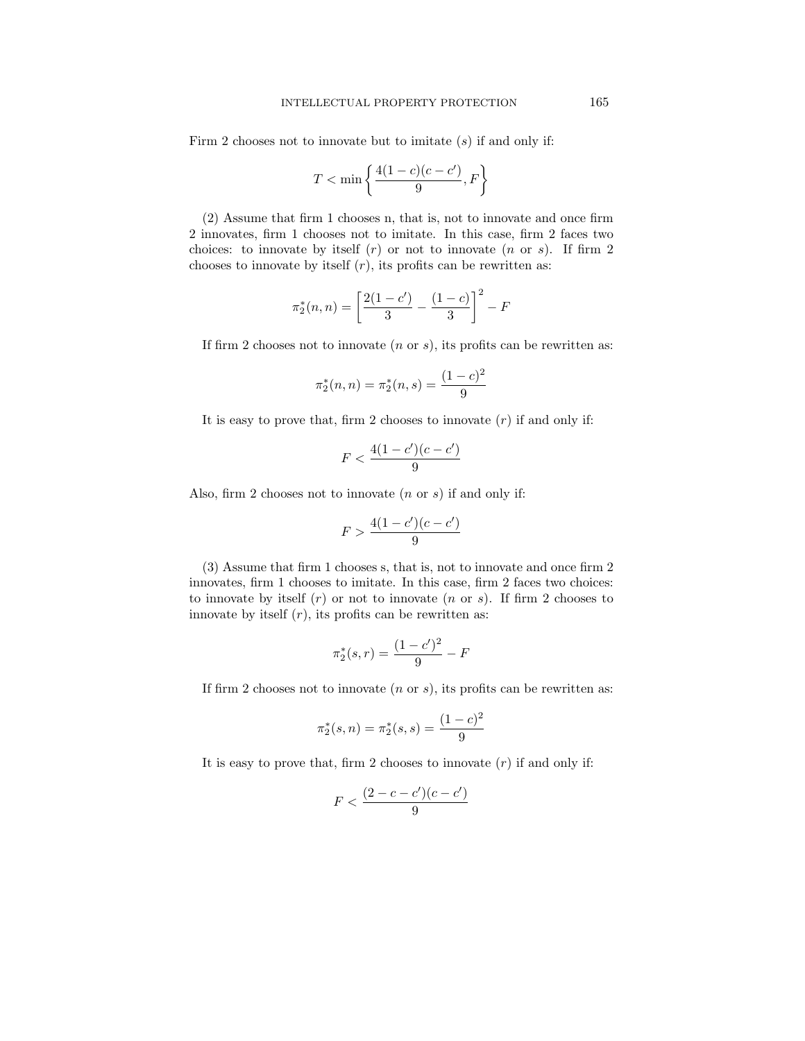Firm 2 chooses not to innovate but to imitate  $(s)$  if and only if:

$$
T < \min\left\{\frac{4(1-c)(c-c')}{9}, F\right\}
$$

(2) Assume that firm 1 chooses n, that is, not to innovate and once firm 2 innovates, firm 1 chooses not to imitate. In this case, firm 2 faces two choices: to innovate by itself  $(r)$  or not to innovate  $(n \text{ or } s)$ . If firm 2 chooses to innovate by itself  $(r)$ , its profits can be rewritten as:

$$
\pi_2^*(n, n) = \left[\frac{2(1-c')}{3} - \frac{(1-c)}{3}\right]^2 - F
$$

If firm 2 chooses not to innovate  $(n \text{ or } s)$ , its profits can be rewritten as:

$$
\pi_2^*(n, n) = \pi_2^*(n, s) = \frac{(1 - c)^2}{9}
$$

It is easy to prove that, firm 2 chooses to innovate  $(r)$  if and only if:

$$
F < \frac{4(1 - c')(c - c')}{9}
$$

Also, firm 2 chooses not to innovate  $(n \text{ or } s)$  if and only if:

$$
F > \frac{4(1 - c')(c - c')}{9}
$$

(3) Assume that firm 1 chooses s, that is, not to innovate and once firm 2 innovates, firm 1 chooses to imitate. In this case, firm 2 faces two choices: to innovate by itself  $(r)$  or not to innovate  $(n \text{ or } s)$ . If firm 2 chooses to innovate by itself  $(r)$ , its profits can be rewritten as:

$$
\pi_2^*(s, r) = \frac{(1 - c')^2}{9} - F
$$

If firm 2 chooses not to innovate  $(n \text{ or } s)$ , its profits can be rewritten as:

$$
\pi_2^*(s, n) = \pi_2^*(s, s) = \frac{(1 - c)^2}{9}
$$

It is easy to prove that, firm 2 chooses to innovate  $(r)$  if and only if:

$$
F<\frac{(2-c-c')(c-c')}{9}
$$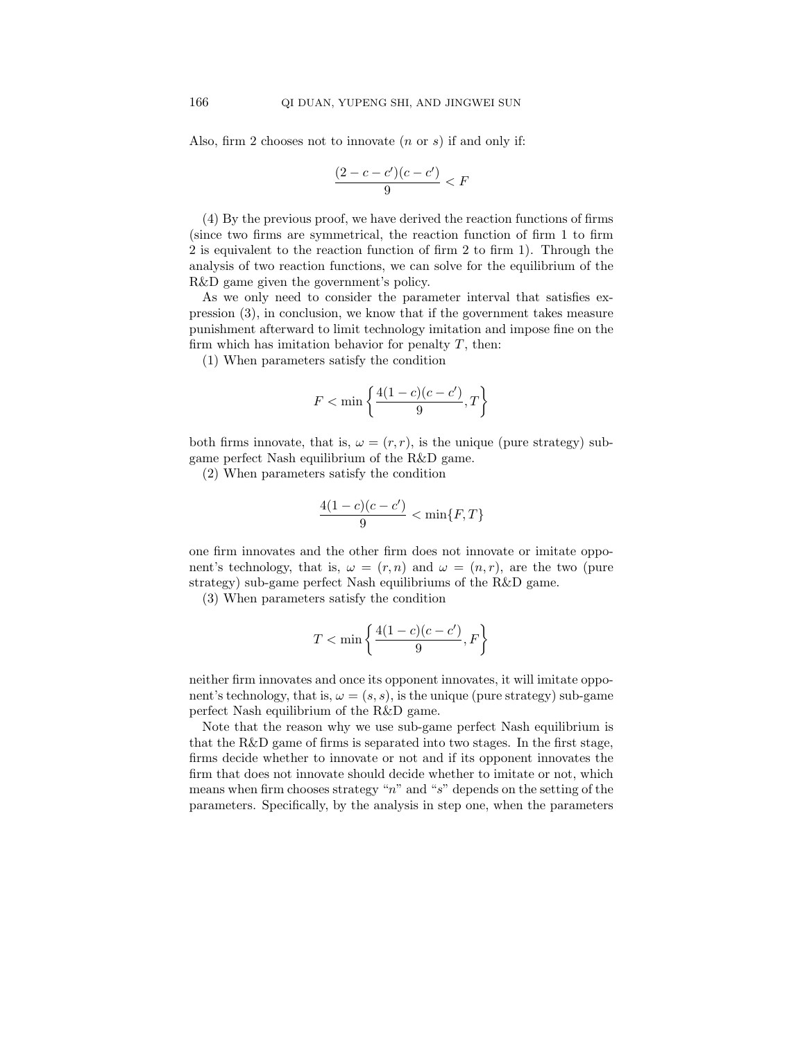Also, firm 2 chooses not to innovate  $(n \text{ or } s)$  if and only if:

$$
\frac{(2-c-c')(c-c')}{9} < F
$$

(4) By the previous proof, we have derived the reaction functions of firms (since two firms are symmetrical, the reaction function of firm 1 to firm 2 is equivalent to the reaction function of firm 2 to firm 1). Through the analysis of two reaction functions, we can solve for the equilibrium of the R&D game given the government's policy.

As we only need to consider the parameter interval that satisfies expression (3), in conclusion, we know that if the government takes measure punishment afterward to limit technology imitation and impose fine on the firm which has imitation behavior for penalty  $T$ , then:

(1) When parameters satisfy the condition

$$
F<\min\left\{\frac{4(1-c)(c-c')}{9},T\right\}
$$

both firms innovate, that is,  $\omega = (r, r)$ , is the unique (pure strategy) subgame perfect Nash equilibrium of the R&D game.

(2) When parameters satisfy the condition

$$
\frac{4(1-c)(c-c')}{9} < \min\{F,T\}
$$

one firm innovates and the other firm does not innovate or imitate opponent's technology, that is,  $\omega = (r, n)$  and  $\omega = (n, r)$ , are the two (pure strategy) sub-game perfect Nash equilibriums of the R&D game.

(3) When parameters satisfy the condition

$$
T < \min\left\{\frac{4(1-c)(c-c')}{9}, F\right\}
$$

neither firm innovates and once its opponent innovates, it will imitate opponent's technology, that is,  $\omega = (s, s)$ , is the unique (pure strategy) sub-game perfect Nash equilibrium of the R&D game.

Note that the reason why we use sub-game perfect Nash equilibrium is that the R&D game of firms is separated into two stages. In the first stage, firms decide whether to innovate or not and if its opponent innovates the firm that does not innovate should decide whether to imitate or not, which means when firm chooses strategy " $n$ " and "s" depends on the setting of the parameters. Specifically, by the analysis in step one, when the parameters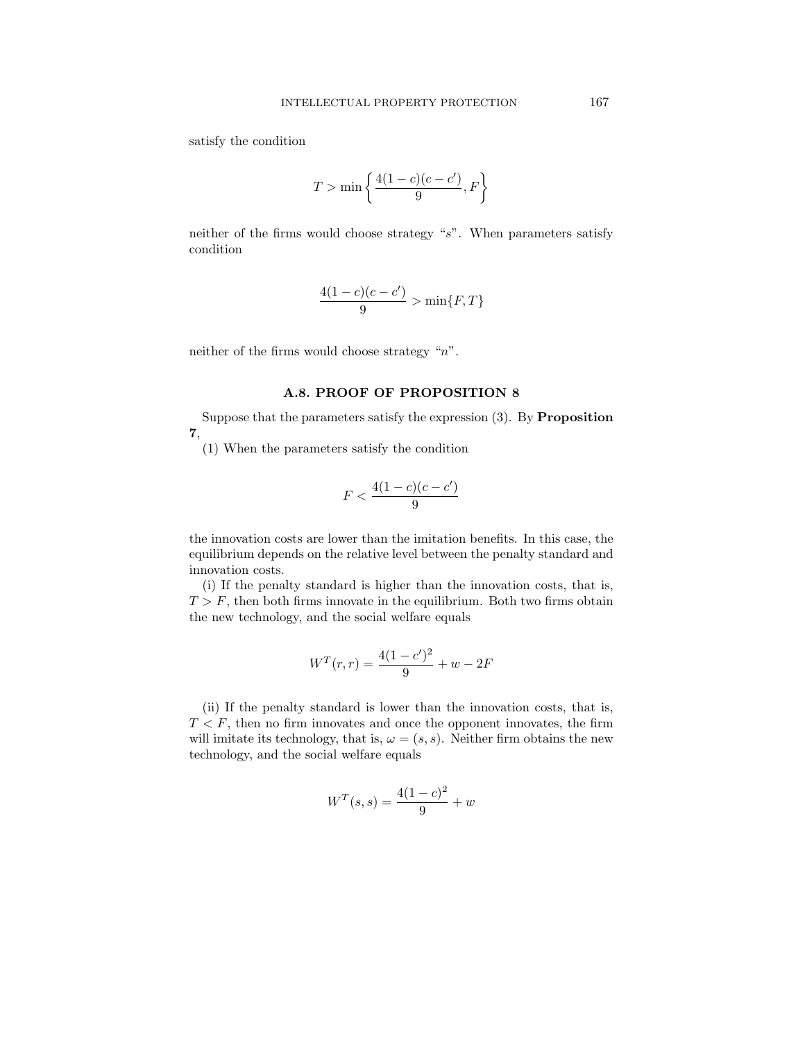satisfy the condition

$$
T > \min\left\{\frac{4(1-c)(c-c')}{9}, F\right\}
$$

neither of the firms would choose strategy "s". When parameters satisfy condition

$$
\frac{4(1-c)(c-c')}{9} > \min\{F,T\}
$$

neither of the firms would choose strategy "n".

# A.8. PROOF OF PROPOSITION 8

Suppose that the parameters satisfy the expression  $(3)$ . By **Proposition** 7,

(1) When the parameters satisfy the condition

$$
F < \frac{4(1-c)(c-c')}{9}
$$

the innovation costs are lower than the imitation benefits. In this case, the equilibrium depends on the relative level between the penalty standard and innovation costs.

(i) If the penalty standard is higher than the innovation costs, that is,  $T > F$ , then both firms innovate in the equilibrium. Both two firms obtain the new technology, and the social welfare equals

$$
W^{T}(r,r) = \frac{4(1-c')^{2}}{9} + w - 2F
$$

(ii) If the penalty standard is lower than the innovation costs, that is,  $T < F$ , then no firm innovates and once the opponent innovates, the firm will imitate its technology, that is,  $\omega = (s, s)$ . Neither firm obtains the new technology, and the social welfare equals

$$
W^{T}(s,s) = \frac{4(1-c)^{2}}{9} + w
$$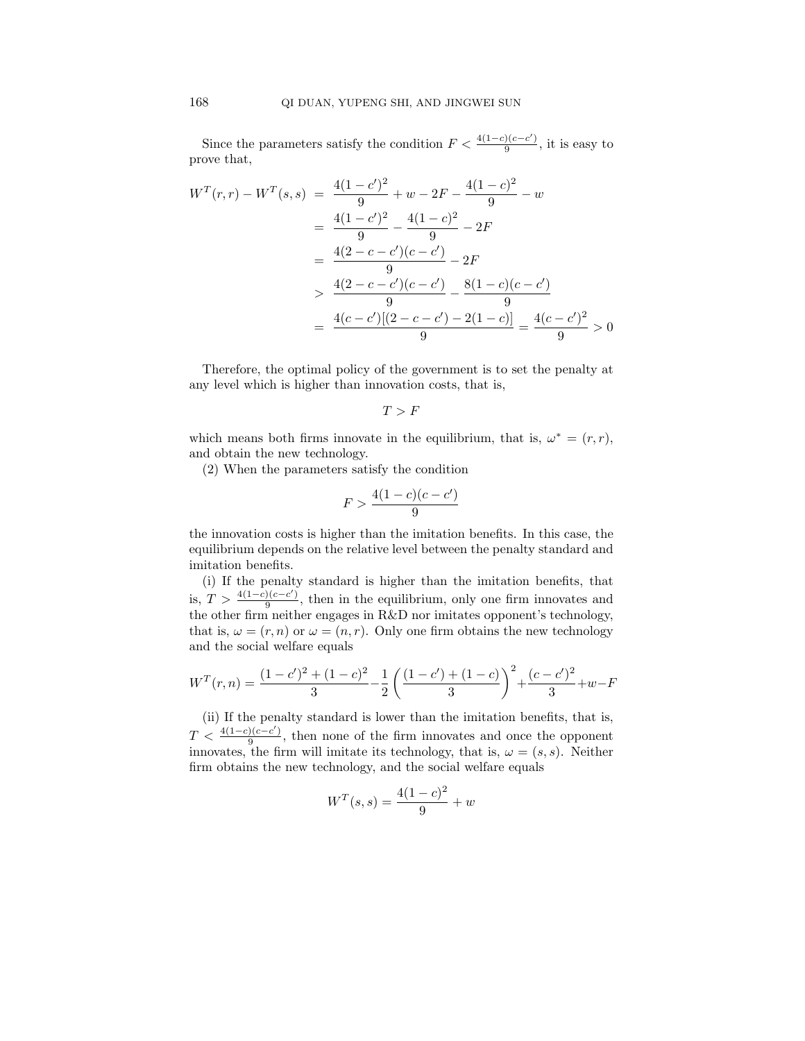Since the parameters satisfy the condition  $F < \frac{4(1-c)(c-c')}{a}$  $\frac{9}{9}$ , it is easy to prove that,

$$
W^{T}(r,r) - W^{T}(s,s) = \frac{4(1-c')^{2}}{9} + w - 2F - \frac{4(1-c)^{2}}{9} - w
$$
  
= 
$$
\frac{4(1-c')^{2}}{9} - \frac{4(1-c)^{2}}{9} - 2F
$$
  
= 
$$
\frac{4(2-c-c')(c-c')}{9} - 2F
$$
  
> 
$$
\frac{4(2-c-c')(c-c')}{9} - \frac{8(1-c)(c-c')}{9}
$$
  
= 
$$
\frac{4(c-c')[(2-c-c') - 2(1-c)]}{9} = \frac{4(c-c')^{2}}{9} > 0
$$

Therefore, the optimal policy of the government is to set the penalty at any level which is higher than innovation costs, that is,

 $T > F$ 

which means both firms innovate in the equilibrium, that is,  $\omega^* = (r, r)$ , and obtain the new technology.

(2) When the parameters satisfy the condition

$$
F > \frac{4(1-c)(c-c')}{9}
$$

the innovation costs is higher than the imitation benefits. In this case, the equilibrium depends on the relative level between the penalty standard and imitation benefits.

(i) If the penalty standard is higher than the imitation benefits, that is,  $T > \frac{4(1-c)(c-c')}{9}$  $\frac{f(c-c)}{9}$ , then in the equilibrium, only one firm innovates and the other firm neither engages in R&D nor imitates opponent's technology, that is,  $\omega = (r, n)$  or  $\omega = (n, r)$ . Only one firm obtains the new technology and the social welfare equals

$$
W^{T}(r,n) = \frac{(1-c')^{2} + (1-c)^{2}}{3} - \frac{1}{2} \left( \frac{(1-c') + (1-c)}{3} \right)^{2} + \frac{(c-c')^{2}}{3} + w - F
$$

(ii) If the penalty standard is lower than the imitation benefits, that is,  $T < \frac{4(1-c)(c-c')}{9}$  $\frac{1}{9}$ , then none of the firm innovates and once the opponent innovates, the firm will imitate its technology, that is,  $\omega = (s, s)$ . Neither firm obtains the new technology, and the social welfare equals

$$
W^{T}(s,s) = \frac{4(1-c)^{2}}{9} + w
$$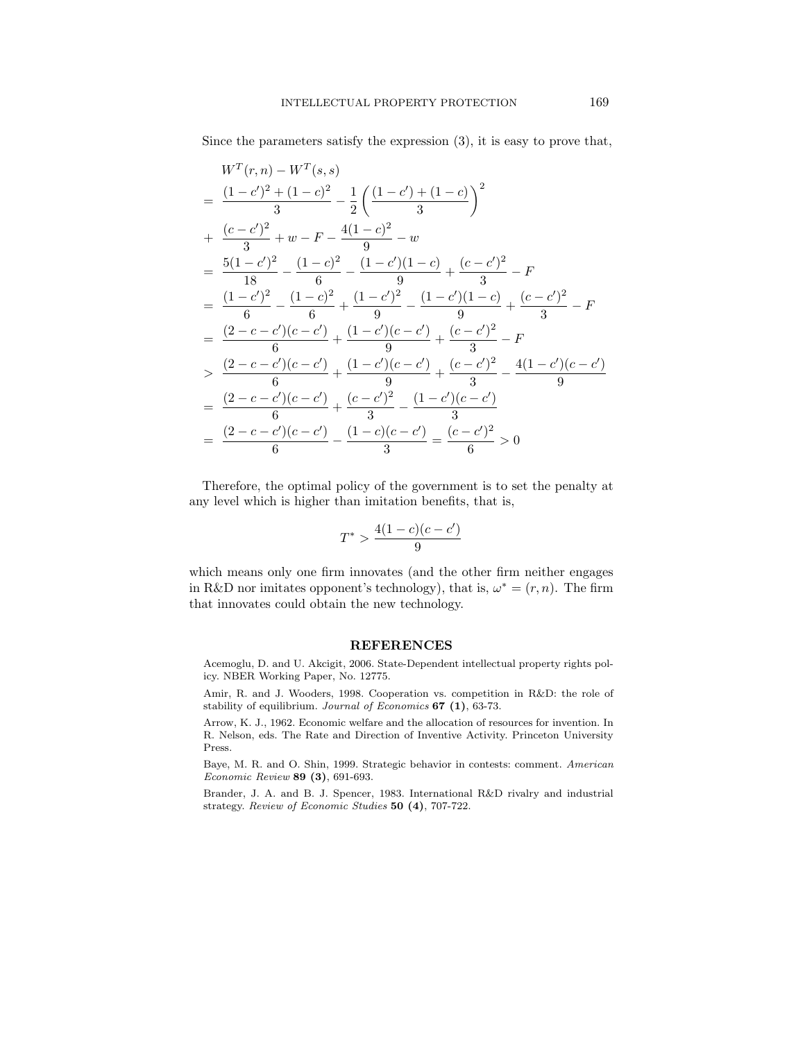Since the parameters satisfy the expression (3), it is easy to prove that,

$$
W^T(r,n) - W^T(s,s)
$$
  
=  $\frac{(1-c')^2 + (1-c)^2}{3} - \frac{1}{2} \left( \frac{(1-c') + (1-c)}{3} \right)^2$   
+  $\frac{(c-c')^2}{3} + w - F - \frac{4(1-c)^2}{9} - w$   
=  $\frac{5(1-c')^2}{18} - \frac{(1-c)^2}{6} - \frac{(1-c')(1-c)}{9} + \frac{(c-c')^2}{3} - F$   
=  $\frac{(1-c')^2}{6} - \frac{(1-c)^2}{6} + \frac{(1-c')^2}{9} - \frac{(1-c')(1-c)}{9} + \frac{(c-c')^2}{3} - F$   
=  $\frac{(2-c-c')(c-c')}{6} + \frac{(1-c')(c-c')}{9} + \frac{(c-c')^2}{3} - F$   
>  $\frac{(2-c-c')(c-c')}{6} + \frac{(1-c')(c-c')}{9} + \frac{(c-c')^2}{3} - \frac{4(1-c')(c-c')}{9}$   
=  $\frac{(2-c-c')(c-c')}{6} + \frac{(c-c')^2}{3} - \frac{(1-c')(c-c')}{3}$   
=  $\frac{(2-c-c')(c-c')}{6} - \frac{(1-c)(c-c')}{3} = \frac{(c-c')^2}{6} > 0$ 

Therefore, the optimal policy of the government is to set the penalty at any level which is higher than imitation benefits, that is,

$$
T^* > \frac{4(1-c)(c-c')}{9}
$$

which means only one firm innovates (and the other firm neither engages in R&D nor imitates opponent's technology), that is,  $\omega^* = (r, n)$ . The firm that innovates could obtain the new technology.

### REFERENCES

Acemoglu, D. and U. Akcigit, 2006. State-Dependent intellectual property rights policy. NBER Working Paper, No. 12775.

Amir, R. and J. Wooders, 1998. Cooperation vs. competition in R&D: the role of stability of equilibrium. Journal of Economics 67 (1), 63-73.

Arrow, K. J., 1962. Economic welfare and the allocation of resources for invention. In R. Nelson, eds. The Rate and Direction of Inventive Activity. Princeton University Press.

Baye, M. R. and O. Shin, 1999. Strategic behavior in contests: comment. American Economic Review 89 (3), 691-693.

Brander, J. A. and B. J. Spencer, 1983. International R&D rivalry and industrial strategy. Review of Economic Studies 50 (4), 707-722.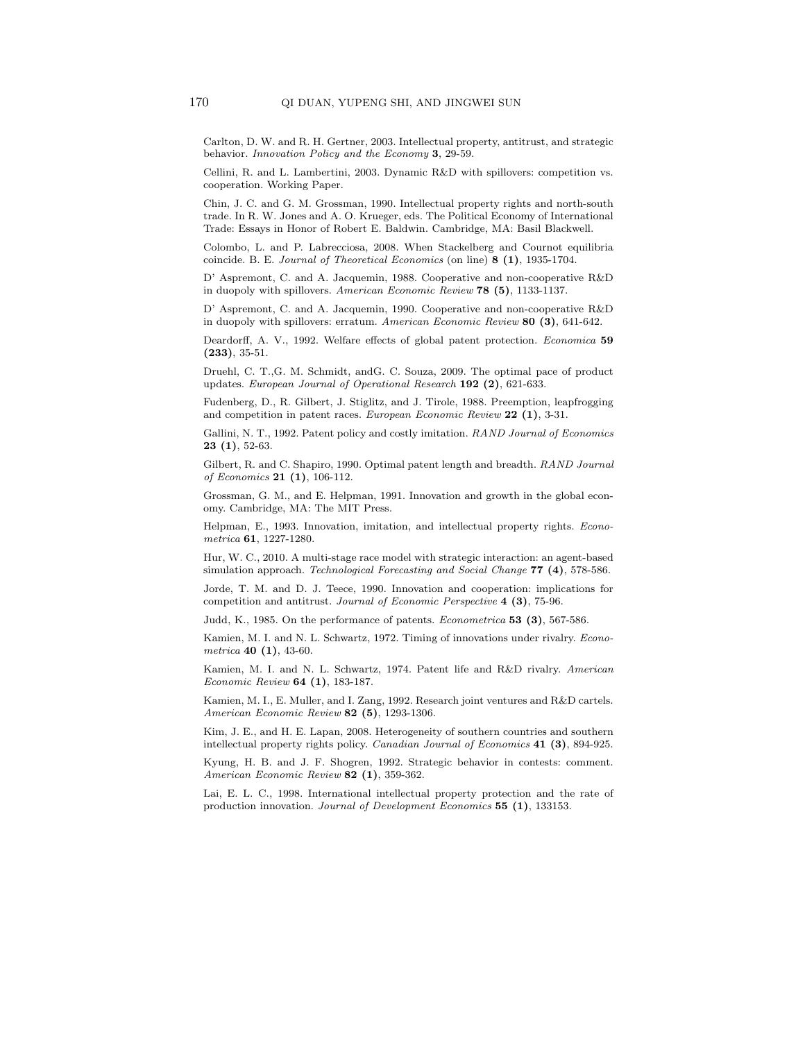Carlton, D. W. and R. H. Gertner, 2003. Intellectual property, antitrust, and strategic behavior. Innovation Policy and the Economy 3, 29-59.

Cellini, R. and L. Lambertini, 2003. Dynamic R&D with spillovers: competition vs. cooperation. Working Paper.

Chin, J. C. and G. M. Grossman, 1990. Intellectual property rights and north-south trade. In R. W. Jones and A. O. Krueger, eds. The Political Economy of International Trade: Essays in Honor of Robert E. Baldwin. Cambridge, MA: Basil Blackwell.

Colombo, L. and P. Labrecciosa, 2008. When Stackelberg and Cournot equilibria coincide. B. E. Journal of Theoretical Economics (on line) 8 (1), 1935-1704.

D' Aspremont, C. and A. Jacquemin, 1988. Cooperative and non-cooperative R&D in duopoly with spillovers. American Economic Review 78 (5), 1133-1137.

D' Aspremont, C. and A. Jacquemin, 1990. Cooperative and non-cooperative R&D in duopoly with spillovers: erratum. American Economic Review 80 (3), 641-642.

Deardorff, A. V., 1992. Welfare effects of global patent protection. Economica 59  $(233), 35-51.$ 

Druehl, C. T.,G. M. Schmidt, andG. C. Souza, 2009. The optimal pace of product updates. European Journal of Operational Research  $192$  (2), 621-633.

Fudenberg, D., R. Gilbert, J. Stiglitz, and J. Tirole, 1988. Preemption, leapfrogging and competition in patent races. European Economic Review 22 (1), 3-31.

Gallini, N. T., 1992. Patent policy and costly imitation. RAND Journal of Economics  $23(1), 52-63.$ 

Gilbert, R. and C. Shapiro, 1990. Optimal patent length and breadth. RAND Journal of Economics 21 (1), 106-112.

Grossman, G. M., and E. Helpman, 1991. Innovation and growth in the global economy. Cambridge, MA: The MIT Press.

Helpman, E., 1993. Innovation, imitation, and intellectual property rights. Econometrica 61, 1227-1280.

Hur, W. C., 2010. A multi-stage race model with strategic interaction: an agent-based simulation approach. Technological Forecasting and Social Change 77 (4), 578-586.

Jorde, T. M. and D. J. Teece, 1990. Innovation and cooperation: implications for competition and antitrust. Journal of Economic Perspective 4 (3), 75-96.

Judd, K., 1985. On the performance of patents. *Econometrica* 53  $(3)$ , 567-586.

Kamien, M. I. and N. L. Schwartz, 1972. Timing of innovations under rivalry. *Econo*metrica 40 $(1)$ , 43-60.

Kamien, M. I. and N. L. Schwartz, 1974. Patent life and R&D rivalry. American Economic Review 64 (1), 183-187.

Kamien, M. I., E. Muller, and I. Zang, 1992. Research joint ventures and R&D cartels. American Economic Review 82 (5), 1293-1306.

Kim, J. E., and H. E. Lapan, 2008. Heterogeneity of southern countries and southern intellectual property rights policy. Canadian Journal of Economics 41 (3), 894-925.

Kyung, H. B. and J. F. Shogren, 1992. Strategic behavior in contests: comment. American Economic Review 82 (1), 359-362.

Lai, E. L. C., 1998. International intellectual property protection and the rate of production innovation. Journal of Development Economics 55 (1), 133153.